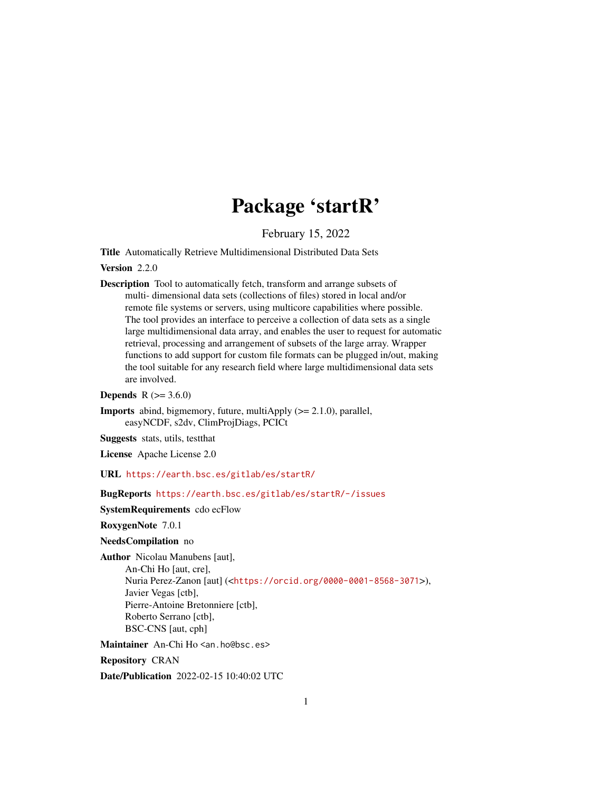# Package 'startR'

February 15, 2022

<span id="page-0-0"></span>Title Automatically Retrieve Multidimensional Distributed Data Sets

Version 2.2.0

Description Tool to automatically fetch, transform and arrange subsets of multi- dimensional data sets (collections of files) stored in local and/or remote file systems or servers, using multicore capabilities where possible. The tool provides an interface to perceive a collection of data sets as a single large multidimensional data array, and enables the user to request for automatic retrieval, processing and arrangement of subsets of the large array. Wrapper functions to add support for custom file formats can be plugged in/out, making the tool suitable for any research field where large multidimensional data sets are involved.

**Depends**  $R$  ( $> = 3.6.0$ )

**Imports** abind, bigmemory, future, multiApply  $(>= 2.1.0)$ , parallel, easyNCDF, s2dv, ClimProjDiags, PCICt

Suggests stats, utils, testthat

License Apache License 2.0

URL <https://earth.bsc.es/gitlab/es/startR/>

# BugReports <https://earth.bsc.es/gitlab/es/startR/-/issues>

SystemRequirements cdo ecFlow

RoxygenNote 7.0.1

NeedsCompilation no

Author Nicolau Manubens [aut],

An-Chi Ho [aut, cre], Nuria Perez-Zanon [aut] (<<https://orcid.org/0000-0001-8568-3071>>), Javier Vegas [ctb], Pierre-Antoine Bretonniere [ctb], Roberto Serrano [ctb], BSC-CNS [aut, cph]

Maintainer An-Chi Ho <an.ho@bsc.es>

Repository CRAN

Date/Publication 2022-02-15 10:40:02 UTC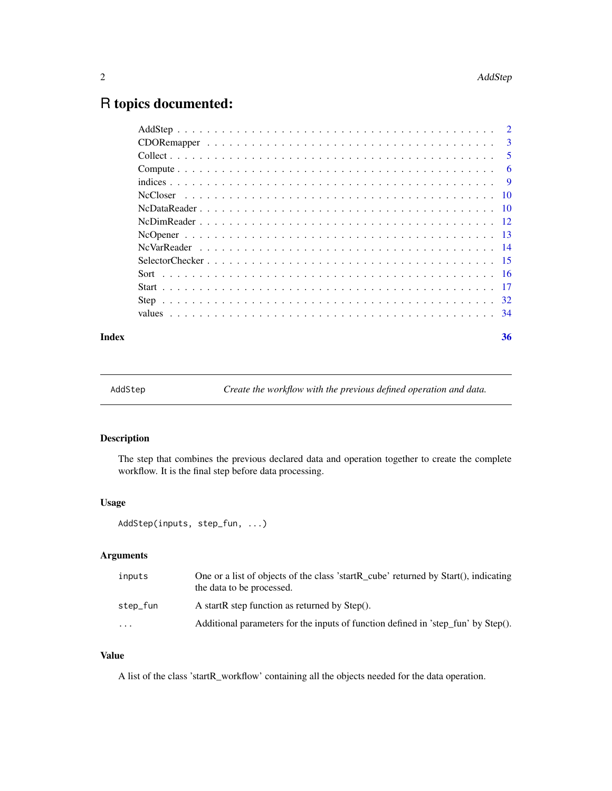# <span id="page-1-0"></span>R topics documented:

| $\overline{3}$ |
|----------------|
| -5             |
| 6              |
| - 9            |
|                |
|                |
|                |
|                |
|                |
|                |
|                |
|                |
|                |
|                |
|                |

#### **Index** [36](#page-35-0)

AddStep *Create the workflow with the previous defined operation and data.*

# Description

The step that combines the previous declared data and operation together to create the complete workflow. It is the final step before data processing.

#### Usage

```
AddStep(inputs, step_fun, ...)
```
# Arguments

| inputs                  | One or a list of objects of the class 'startR_cube' returned by Start(), indicating<br>the data to be processed. |
|-------------------------|------------------------------------------------------------------------------------------------------------------|
| step_fun                | A startR step function as returned by Step().                                                                    |
| $\cdot$ $\cdot$ $\cdot$ | Additional parameters for the inputs of function defined in 'step fun' by Step().                                |

# Value

A list of the class 'startR\_workflow' containing all the objects needed for the data operation.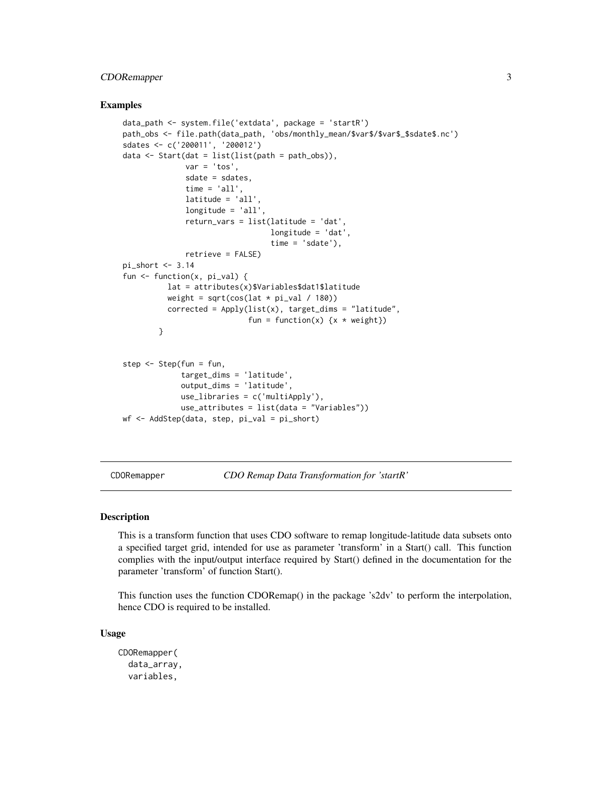# <span id="page-2-0"></span>CDORemapper 3

#### Examples

```
data_path <- system.file('extdata', package = 'startR')
path_obs <- file.path(data_path, 'obs/monthly_mean/$var$/$var$_$sdate$.nc')
sdates <- c('200011', '200012')
data <- Start(dat = list(list(path = path_obs)),
              var = 'tos'.sdate = sdates,
              time = 'all',
              latitude = 'all',
              longitude = 'all',
              return_vars = list(latitude = 'dat',
                                 longitude = 'dat',
                                 time = 'sdate'),
              retrieve = FALSE)
pi_short <- 3.14
fun \leq function(x, pi_val) {
          lat = attributes(x)$Variables$dat1$latitude
          weight = sqrt(cos(lat * pi_val / 180))
          corrected = Apply(list(x), target_dims = "latitude",
                            fun = function(x) \{x * weight\}}
step <- Step(fun = fun,
             target_dims = 'latitude',
             output_dims = 'latitude',
             use_libraries = c('multiApply'),
             use_attributes = list(data = "Variables"))
wf <- AddStep(data, step, pi_val = pi_short)
```
CDORemapper *CDO Remap Data Transformation for 'startR'*

#### Description

This is a transform function that uses CDO software to remap longitude-latitude data subsets onto a specified target grid, intended for use as parameter 'transform' in a Start() call. This function complies with the input/output interface required by Start() defined in the documentation for the parameter 'transform' of function Start().

This function uses the function CDORemap() in the package 's2dv' to perform the interpolation, hence CDO is required to be installed.

### Usage

```
CDORemapper(
  data_array,
  variables,
```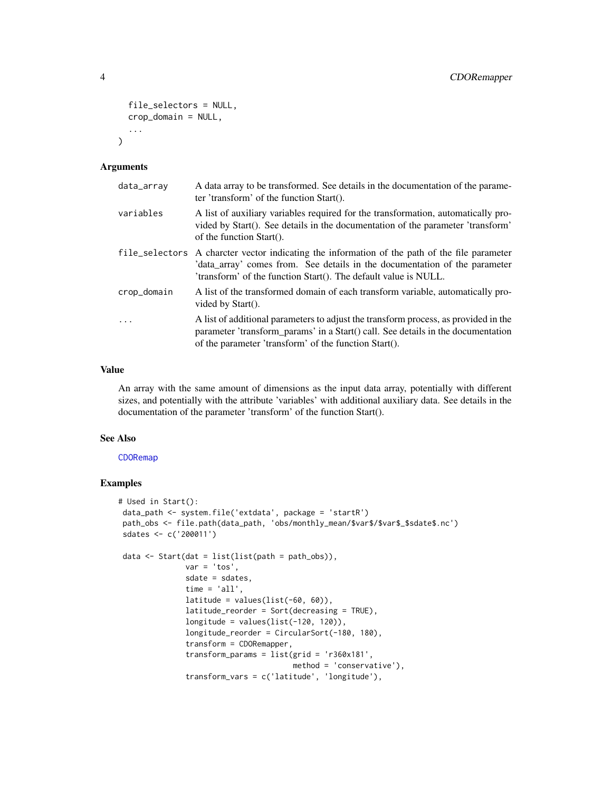```
file_selectors = NULL,
  crop_domain = NULL,
  ...
\lambda
```
#### Arguments

| data_array  | A data array to be transformed. See details in the documentation of the parame-<br>ter 'transform' of the function Start().                                                                                                                    |
|-------------|------------------------------------------------------------------------------------------------------------------------------------------------------------------------------------------------------------------------------------------------|
| variables   | A list of auxiliary variables required for the transformation, automatically pro-<br>vided by Start(). See details in the documentation of the parameter 'transform'<br>of the function $Start()$ .                                            |
|             | file_selectors A charcter vector indicating the information of the path of the file parameter<br>'data_array' comes from. See details in the documentation of the parameter<br>'transform' of the function Start(). The default value is NULL. |
| crop_domain | A list of the transformed domain of each transform variable, automatically pro-<br>vided by $Start()$ .                                                                                                                                        |
| $\cdot$     | A list of additional parameters to adjust the transform process, as provided in the<br>parameter 'transform_params' in a Start() call. See details in the documentation<br>of the parameter 'transform' of the function Start().               |

#### Value

An array with the same amount of dimensions as the input data array, potentially with different sizes, and potentially with the attribute 'variables' with additional auxiliary data. See details in the documentation of the parameter 'transform' of the function Start().

## See Also

[CDORemap](#page-0-0)

# Examples

```
# Used in Start():
data_path <- system.file('extdata', package = 'startR')
path_obs <- file.path(data_path, 'obs/monthly_mean/$var$/$var$_$sdate$.nc')
sdates <- c('200011')
data \le Start(dat = list(list(path = path_obs)),
              var = 'tos',sdate = sdates,
              time = 'all',latitude = values(list(-60, 60)),
               latitude_reorder = Sort(decreasing = TRUE),
               longitude = values(list(-120, 120)),
               longitude_reorder = CircularSort(-180, 180),
               transform = CDORemapper,
               transform_params = list(grid = 'r360x181',
                                       method = 'conservative'),
               transform_vars = c('latitude', 'longitude'),
```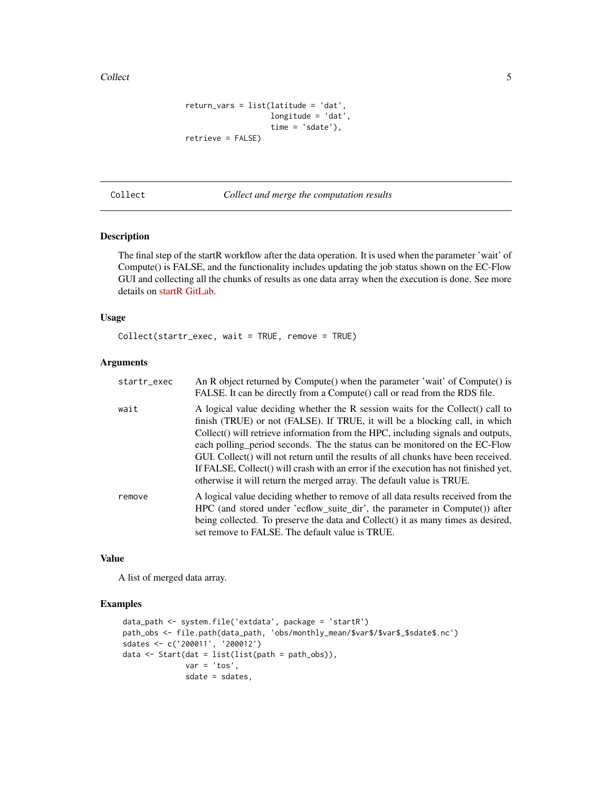<span id="page-4-0"></span>Collect 5 and 5 and 5 and 5 and 5 and 5 and 5 and 5 and 5 and 5 and 5 and 5 and 5 and 5 and 5 and 5 and 5 and 5 and 5 and 5 and 5 and 5 and 5 and 5 and 5 and 5 and 5 and 5 and 5 and 5 and 5 and 5 and 5 and 5 and 5 and 5 an

```
return_vars = list(latitude = 'dat',
                  longitude = 'dat',
                   time = 'sdate'),
retrieve = FALSE)
```
Collect *Collect and merge the computation results*

# Description

The final step of the startR workflow after the data operation. It is used when the parameter 'wait' of Compute() is FALSE, and the functionality includes updating the job status shown on the EC-Flow GUI and collecting all the chunks of results as one data array when the execution is done. See more details on [startR GitLab.](https://earth.bsc.es/gitlab/es/startR/)

#### Usage

Collect(startr\_exec, wait = TRUE, remove = TRUE)

# Arguments

| startr_exec | An R object returned by Compute() when the parameter 'wait' of Compute() is<br>FALSE. It can be directly from a Compute() call or read from the RDS file.                                                                                                                                                                                                                                                                                                                                                                                                                              |
|-------------|----------------------------------------------------------------------------------------------------------------------------------------------------------------------------------------------------------------------------------------------------------------------------------------------------------------------------------------------------------------------------------------------------------------------------------------------------------------------------------------------------------------------------------------------------------------------------------------|
| wait        | A logical value deciding whether the R session waits for the Collect() call to<br>finish (TRUE) or not (FALSE). If TRUE, it will be a blocking call, in which<br>Collect() will retrieve information from the HPC, including signals and outputs,<br>each polling period seconds. The the status can be monitored on the EC-Flow<br>GUI. Collect() will not return until the results of all chunks have been received.<br>If FALSE, Collect() will crash with an error if the execution has not finished yet,<br>otherwise it will return the merged array. The default value is TRUE. |
| remove      | A logical value deciding whether to remove of all data results received from the<br>HPC (and stored under 'ecflow_suite_dir', the parameter in Compute()) after<br>being collected. To preserve the data and Collect() it as many times as desired,<br>set remove to FALSE. The default value is TRUE.                                                                                                                                                                                                                                                                                 |

#### Value

A list of merged data array.

# Examples

```
data_path <- system.file('extdata', package = 'startR')
path_obs <- file.path(data_path, 'obs/monthly_mean/$var$/$var$_$sdate$.nc')
sdates <- c('200011', '200012')
data \le Start(dat = list(list(path = path_obs)),
             var = 'tos',sdate = sdates,
```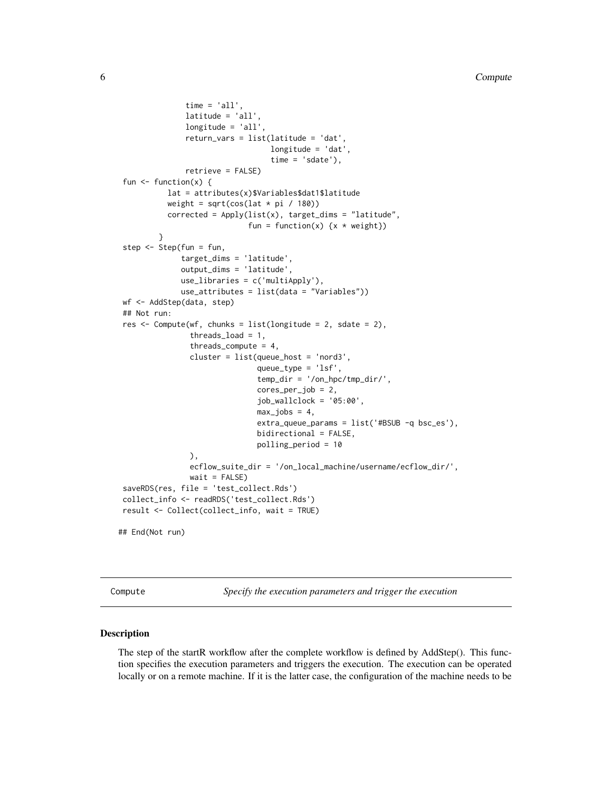```
time = 'all',latitude = 'all',
               longitude = 'all',
               return_vars = list(latitude = 'dat',
                                  longitude = 'dat',
                                  time = 'sdate'),
               retrieve = FALSE)
fun \leq function(x) {
          lat = attributes(x)$Variables$dat1$latitude
          weight = sqrt(cos(lat * pi / 180))
          corrected = Apply(list(x), target_dims = "latitude",
                             fun = function(x) \{x * weight\}}
step <- Step(fun = fun,
              target_dims = 'latitude',
              output_dims = 'latitude',
              use_libraries = c('multiApply'),
              use_attributes = list(data = "Variables"))
wf <- AddStep(data, step)
## Not run:
res <- Compute(wf, chunks = list(longitude = 2, sdate = 2),
                threads_load = 1,
                threads_compute = 4,
                cluster = list(queue_host = 'nord3',
                               queue_type = 'lsf',
                               temp_dir = '/on_hpc/tmp_dir/',
                               cores_per_job = 2,
                               job_wallclock = '05:00',
                               max_jobs = 4,
                               extra_queue_params = list('#BSUB -q bsc_es'),
                               bidirectional = FALSE,
                               polling_period = 10
                ),
                ecflow_suite_dir = '/on_local_machine/username/ecflow_dir/',
                wait = FALSE)saveRDS(res, file = 'test_collect.Rds')
collect_info <- readRDS('test_collect.Rds')
result <- Collect(collect_info, wait = TRUE)
## End(Not run)
```
Compute *Specify the execution parameters and trigger the execution*

#### Description

The step of the startR workflow after the complete workflow is defined by AddStep(). This function specifies the execution parameters and triggers the execution. The execution can be operated locally or on a remote machine. If it is the latter case, the configuration of the machine needs to be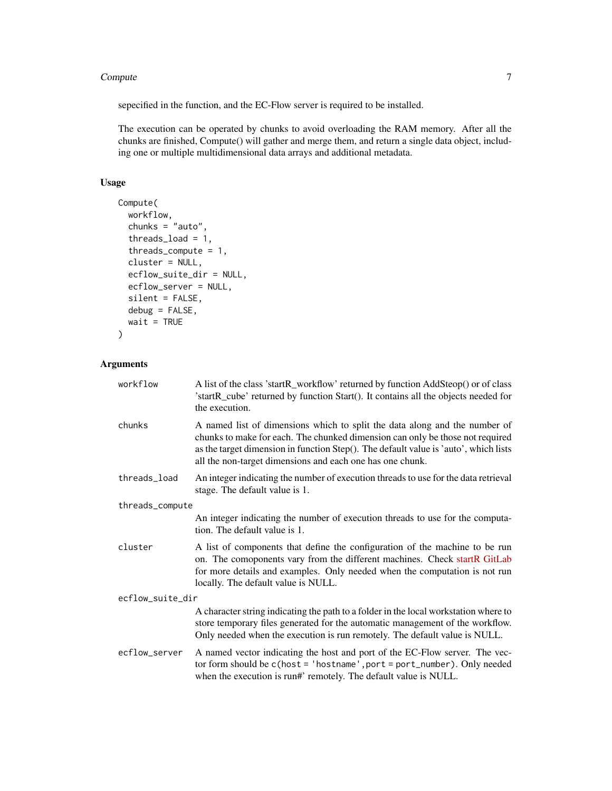#### **Compute** 7 **7**

sepecified in the function, and the EC-Flow server is required to be installed.

The execution can be operated by chunks to avoid overloading the RAM memory. After all the chunks are finished, Compute() will gather and merge them, and return a single data object, including one or multiple multidimensional data arrays and additional metadata.

# Usage

```
Compute(
 workflow,
  chunks = "auto",
  threads_load = 1,
  threads_compute = 1,
  cluster = NULL,
  ecflow_suite_dir = NULL,
  ecflow_server = NULL,
  silent = FALSE,
  debug = FALSE,
 wait = TRUE\lambda
```
# Arguments

| workflow         | A list of the class 'startR_workflow' returned by function AddSteop() or of class<br>'startR_cube' returned by function Start(). It contains all the objects needed for<br>the execution.                                                                                                                        |  |
|------------------|------------------------------------------------------------------------------------------------------------------------------------------------------------------------------------------------------------------------------------------------------------------------------------------------------------------|--|
| chunks           | A named list of dimensions which to split the data along and the number of<br>chunks to make for each. The chunked dimension can only be those not required<br>as the target dimension in function Step(). The default value is 'auto', which lists<br>all the non-target dimensions and each one has one chunk. |  |
| threads_load     | An integer indicating the number of execution threads to use for the data retrieval<br>stage. The default value is 1.                                                                                                                                                                                            |  |
| threads_compute  |                                                                                                                                                                                                                                                                                                                  |  |
|                  | An integer indicating the number of execution threads to use for the computa-<br>tion. The default value is 1.                                                                                                                                                                                                   |  |
| cluster          | A list of components that define the configuration of the machine to be run<br>on. The comoponents vary from the different machines. Check startR GitLab<br>for more details and examples. Only needed when the computation is not run<br>locally. The default value is NULL.                                    |  |
| ecflow_suite_dir |                                                                                                                                                                                                                                                                                                                  |  |
|                  | A character string indicating the path to a folder in the local workstation where to<br>store temporary files generated for the automatic management of the workflow.<br>Only needed when the execution is run remotely. The default value is NULL.                                                              |  |
| ecflow_server    | A named vector indicating the host and port of the EC-Flow server. The vec-<br>tor form should be c(host = 'hostname', port = port_number). Only needed<br>when the execution is run#' remotely. The default value is NULL.                                                                                      |  |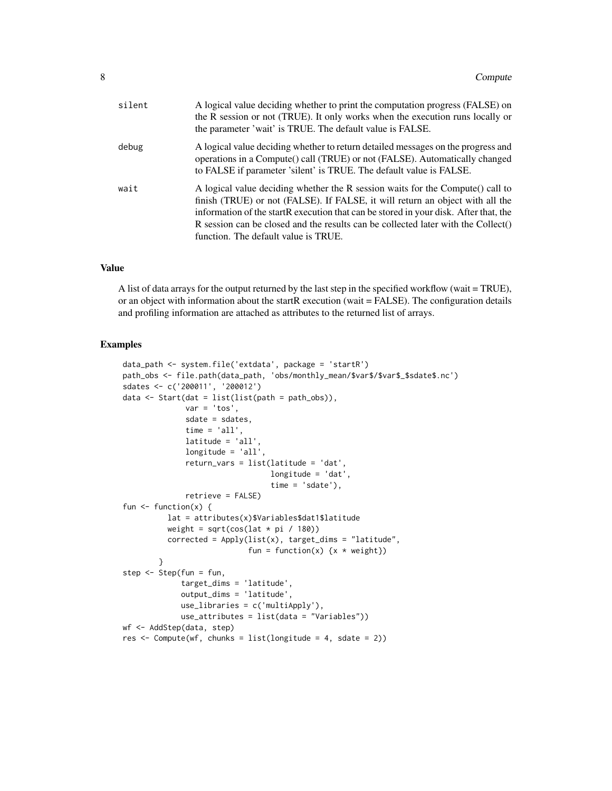| silent | A logical value deciding whether to print the computation progress (FALSE) on<br>the R session or not (TRUE). It only works when the execution runs locally or<br>the parameter 'wait' is TRUE. The default value is FALSE.                                                                                                                                                          |
|--------|--------------------------------------------------------------------------------------------------------------------------------------------------------------------------------------------------------------------------------------------------------------------------------------------------------------------------------------------------------------------------------------|
| debug  | A logical value deciding whether to return detailed messages on the progress and<br>operations in a Compute() call (TRUE) or not (FALSE). Automatically changed<br>to FALSE if parameter 'silent' is TRUE. The default value is FALSE.                                                                                                                                               |
| wait   | A logical value deciding whether the R session waits for the Compute() call to<br>finish (TRUE) or not (FALSE). If FALSE, it will return an object with all the<br>information of the startR execution that can be stored in your disk. After that, the<br>R session can be closed and the results can be collected later with the Collect()<br>function. The default value is TRUE. |

#### Value

A list of data arrays for the output returned by the last step in the specified workflow (wait = TRUE), or an object with information about the startR execution (wait = FALSE). The configuration details and profiling information are attached as attributes to the returned list of arrays.

#### Examples

```
data_path <- system.file('extdata', package = 'startR')
path_obs <- file.path(data_path, 'obs/monthly_mean/$var$/$var$_$sdate$.nc')
sdates <- c('200011', '200012')
data \le Start(dat = list(list(path = path_obs)),
              var = 'tos',sdate = sdates,
              time = 'all',
              latitude = 'all',
              longitude = 'all',
              return_vars = list(latitude = 'dat',
                                 longitude = 'dat',
                                 time = 'sdate').retrieve = FALSE)
fun \leftarrow function(x) {
          lat = attributes(x)$Variables$dat1$latitude
          weight = sqrt(cos(lat * pi / 180))corrected = Apply(list(x), target_dims = "latitude",
                            fun = function(x) \{x * weight\}}
step <- Step(fun = fun,
             target_dims = 'latitude',
             output_dims = 'latitude',
             use_libraries = c('multiApply'),
             use_attributes = list(data = "Variables"))
wf <- AddStep(data, step)
res \le Compute(wf, chunks = list(longitude = 4, sdate = 2))
```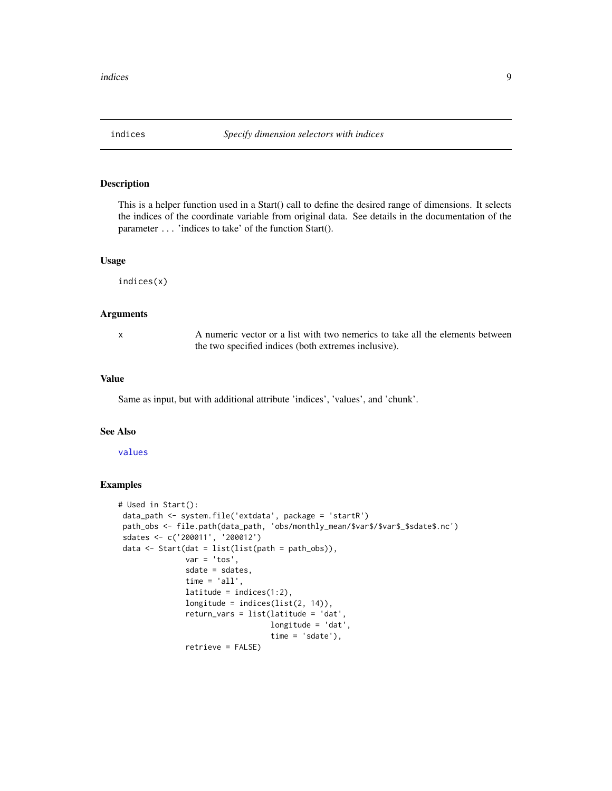<span id="page-8-1"></span><span id="page-8-0"></span>

#### Description

This is a helper function used in a Start() call to define the desired range of dimensions. It selects the indices of the coordinate variable from original data. See details in the documentation of the parameter ... 'indices to take' of the function Start().

#### Usage

indices(x)

#### Arguments

x A numeric vector or a list with two nemerics to take all the elements between the two specified indices (both extremes inclusive).

#### Value

Same as input, but with additional attribute 'indices', 'values', and 'chunk'.

#### See Also

#### [values](#page-33-1)

#### Examples

```
# Used in Start():
data_path <- system.file('extdata', package = 'startR')
path_obs <- file.path(data_path, 'obs/monthly_mean/$var$/$var$_$sdate$.nc')
 sdates <- c('200011', '200012')
 data \le Start(dat = list(list(path = path_obs)),
               var = 'tos',
               sdate = sdates,
               time = 'all',
               latitude = indices(1:2),
               longitude = indices(list(2, 14)),
               return_vars = list(latitude = 'dat',
                                  longitude = 'dat',
                                  time = 'sdate'),
               retrieve = FALSE)
```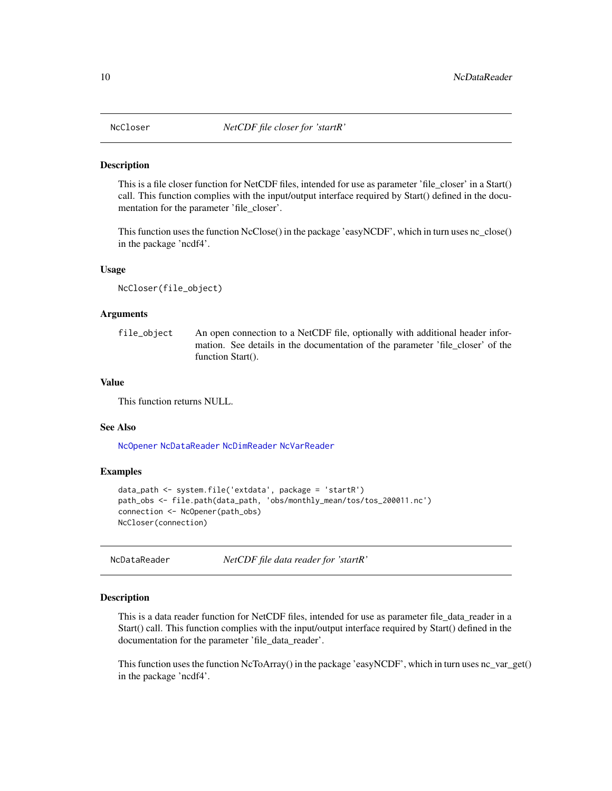<span id="page-9-2"></span><span id="page-9-0"></span>

#### Description

This is a file closer function for NetCDF files, intended for use as parameter 'file closer' in a Start() call. This function complies with the input/output interface required by Start() defined in the documentation for the parameter 'file\_closer'.

This function uses the function NcClose() in the package 'easyNCDF', which in turn uses nc\_close() in the package 'ncdf4'.

#### Usage

NcCloser(file\_object)

#### Arguments

file\_object An open connection to a NetCDF file, optionally with additional header information. See details in the documentation of the parameter 'file\_closer' of the function Start().

#### Value

This function returns NULL.

#### See Also

[NcOpener](#page-12-1) [NcDataReader](#page-9-1) [NcDimReader](#page-11-1) [NcVarReader](#page-13-1)

#### Examples

```
data_path <- system.file('extdata', package = 'startR')
path_obs <- file.path(data_path, 'obs/monthly_mean/tos/tos_200011.nc')
connection <- NcOpener(path_obs)
NcCloser(connection)
```
<span id="page-9-1"></span>NcDataReader *NetCDF file data reader for 'startR'*

#### Description

This is a data reader function for NetCDF files, intended for use as parameter file data reader in a Start() call. This function complies with the input/output interface required by Start() defined in the documentation for the parameter 'file\_data\_reader'.

This function uses the function NcToArray() in the package 'easyNCDF', which in turn uses nc\_var\_get() in the package 'ncdf4'.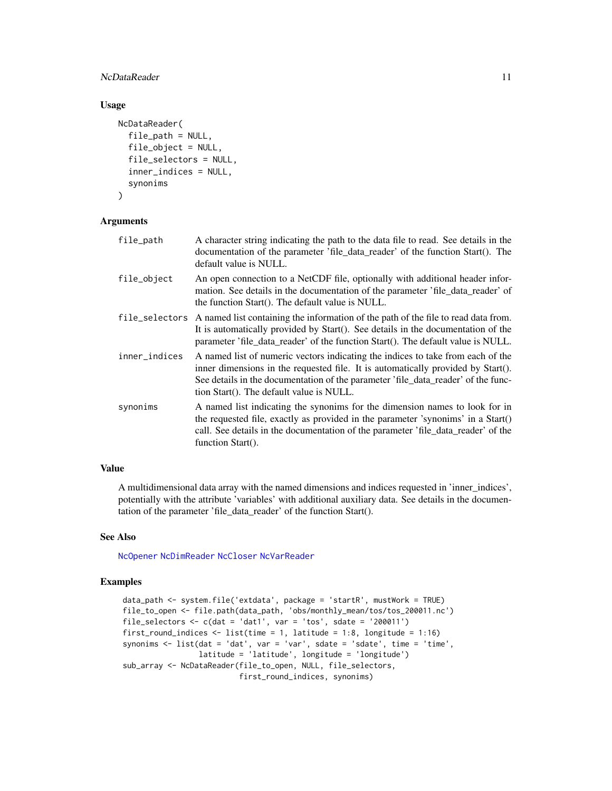# <span id="page-10-0"></span>NcDataReader 11 and 12 and 12 and 12 and 12 and 12 and 12 and 12 and 12 and 12 and 12 and 12 and 12 and 12 and 12 and 12 and 12 and 12 and 12 and 12 and 12 and 12 and 12 and 12 and 12 and 12 and 12 and 12 and 12 and 12 and

# Usage

```
NcDataReader(
  file_path = NULL,
  file_object = NULL,
  file_selectors = NULL,
  inner_indices = NULL,
  synonims
)
```
# Arguments

| file_path      | A character string indicating the path to the data file to read. See details in the<br>documentation of the parameter 'file_data_reader' of the function Start(). The<br>default value is NULL.                                                                                                      |
|----------------|------------------------------------------------------------------------------------------------------------------------------------------------------------------------------------------------------------------------------------------------------------------------------------------------------|
| file_object    | An open connection to a NetCDF file, optionally with additional header infor-<br>mation. See details in the documentation of the parameter 'file_data_reader' of<br>the function Start(). The default value is NULL.                                                                                 |
| file_selectors | A named list containing the information of the path of the file to read data from.<br>It is automatically provided by Start(). See details in the documentation of the<br>parameter 'file_data_reader' of the function Start(). The default value is NULL.                                           |
| inner_indices  | A named list of numeric vectors indicating the indices to take from each of the<br>inner dimensions in the requested file. It is automatically provided by Start().<br>See details in the documentation of the parameter 'file_data_reader' of the func-<br>tion Start(). The default value is NULL. |
| synonims       | A named list indicating the synonims for the dimension names to look for in<br>the requested file, exactly as provided in the parameter 'synonims' in a $Start()$<br>call. See details in the documentation of the parameter 'file_data_reader' of the<br>function Start().                          |

#### Value

A multidimensional data array with the named dimensions and indices requested in 'inner\_indices', potentially with the attribute 'variables' with additional auxiliary data. See details in the documentation of the parameter 'file\_data\_reader' of the function Start().

#### See Also

[NcOpener](#page-12-1) [NcDimReader](#page-11-1) [NcCloser](#page-9-2) [NcVarReader](#page-13-1)

#### Examples

```
data_path <- system.file('extdata', package = 'startR', mustWork = TRUE)
file_to_open <- file.path(data_path, 'obs/monthly_mean/tos/tos_200011.nc')
file_selectors \leq c(dat = 'dat1', var = 'tos', sdate = '200011')
first_round_indices <- list(time = 1, latitude = 1:8, longitude = 1:16)
synonims <- list(dat = 'dat', var = 'var', sdate = 'sdate', time = 'time',
                latitude = 'latitude', longitude = 'longitude')
sub_array <- NcDataReader(file_to_open, NULL, file_selectors,
                          first_round_indices, synonims)
```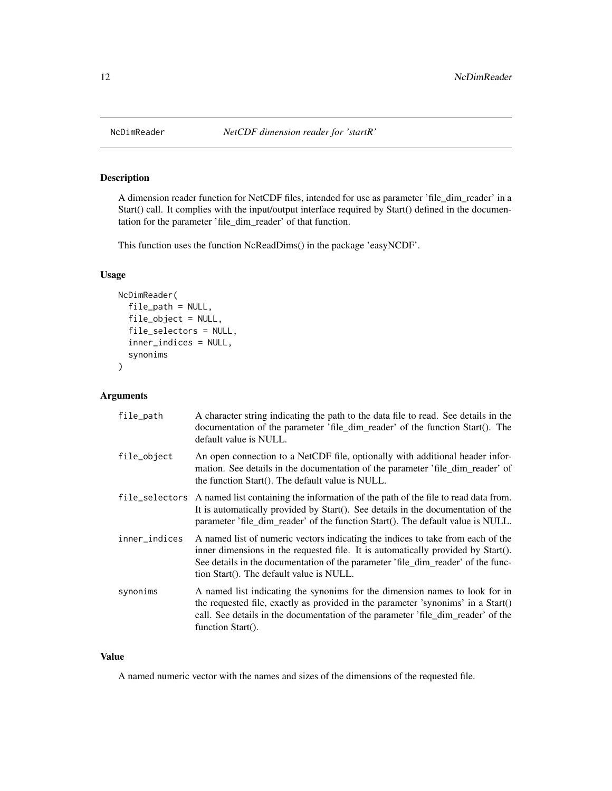<span id="page-11-1"></span><span id="page-11-0"></span>

# Description

A dimension reader function for NetCDF files, intended for use as parameter 'file\_dim\_reader' in a Start() call. It complies with the input/output interface required by Start() defined in the documentation for the parameter 'file\_dim\_reader' of that function.

This function uses the function NcReadDims() in the package 'easyNCDF'.

# Usage

```
NcDimReader(
  file_path = NULL,
  file_object = NULL,
  file_selectors = NULL,
  inner_indices = NULL,
  synonims
)
```
# Arguments

| file_path     | A character string indicating the path to the data file to read. See details in the<br>documentation of the parameter 'file_dim_reader' of the function Start(). The<br>default value is NULL.                                                                                                      |
|---------------|-----------------------------------------------------------------------------------------------------------------------------------------------------------------------------------------------------------------------------------------------------------------------------------------------------|
| file_object   | An open connection to a NetCDF file, optionally with additional header infor-<br>mation. See details in the documentation of the parameter 'file_dim_reader' of<br>the function Start(). The default value is NULL.                                                                                 |
|               | file_selectors A named list containing the information of the path of the file to read data from.<br>It is automatically provided by Start(). See details in the documentation of the<br>parameter 'file_dim_reader' of the function Start(). The default value is NULL.                            |
| inner_indices | A named list of numeric vectors indicating the indices to take from each of the<br>inner dimensions in the requested file. It is automatically provided by Start().<br>See details in the documentation of the parameter 'file_dim_reader' of the func-<br>tion Start(). The default value is NULL. |
| synonims      | A named list indicating the synonims for the dimension names to look for in<br>the requested file, exactly as provided in the parameter 'synonims' in a Start()<br>call. See details in the documentation of the parameter 'file_dim_reader' of the<br>function Start().                            |

#### Value

A named numeric vector with the names and sizes of the dimensions of the requested file.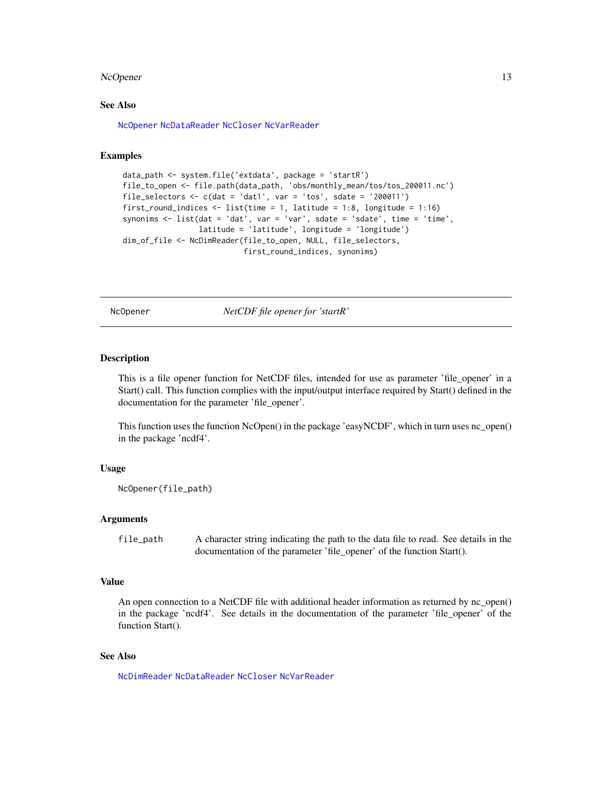#### <span id="page-12-0"></span>NcOpener 13

# See Also

[NcOpener](#page-12-1) [NcDataReader](#page-9-1) [NcCloser](#page-9-2) [NcVarReader](#page-13-1)

#### Examples

```
data_path <- system.file('extdata', package = 'startR')
file_to_open <- file.path(data_path, 'obs/monthly_mean/tos/tos_200011.nc')
file_selectors \leq c(dat = 'dat1', var = 'tos', sdate = '200011')
first_round_indices <- list(time = 1, latitude = 1:8, longitude = 1:16)
synonims <- list(dat = 'dat', var = 'var', sdate = 'sdate', time = 'time',
                 latitude = 'latitude', longitude = 'longitude')
dim_of_file <- NcDimReader(file_to_open, NULL, file_selectors,
                           first_round_indices, synonims)
```
<span id="page-12-1"></span>NcOpener *NetCDF file opener for 'startR'*

#### **Description**

This is a file opener function for NetCDF files, intended for use as parameter 'file\_opener' in a Start() call. This function complies with the input/output interface required by Start() defined in the documentation for the parameter 'file\_opener'.

This function uses the function NcOpen() in the package 'easyNCDF', which in turn uses nc\_open() in the package 'ncdf4'.

#### Usage

```
NcOpener(file_path)
```
#### Arguments

file\_path A character string indicating the path to the data file to read. See details in the documentation of the parameter 'file opener' of the function Start().

#### Value

An open connection to a NetCDF file with additional header information as returned by nc\_open() in the package 'ncdf4'. See details in the documentation of the parameter 'file\_opener' of the function Start().

#### See Also

[NcDimReader](#page-11-1) [NcDataReader](#page-9-1) [NcCloser](#page-9-2) [NcVarReader](#page-13-1)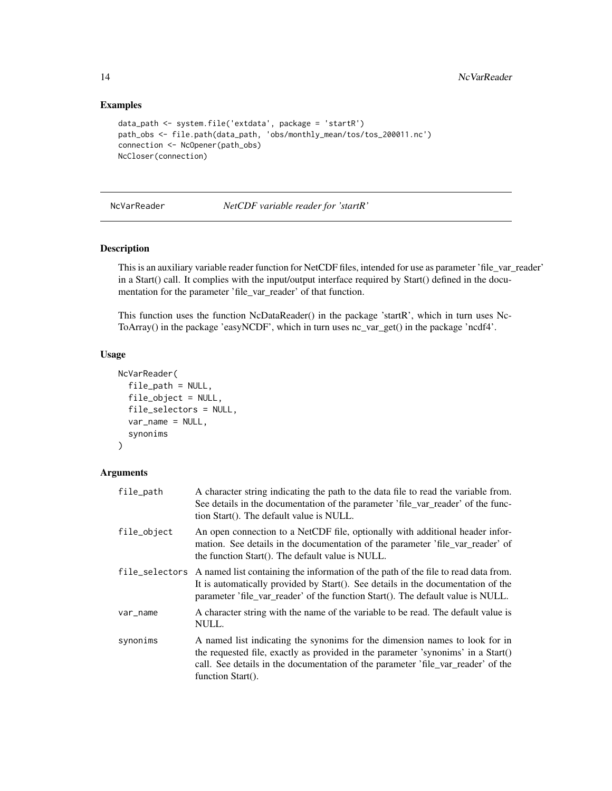#### Examples

```
data_path <- system.file('extdata', package = 'startR')
path_obs <- file.path(data_path, 'obs/monthly_mean/tos/tos_200011.nc')
connection <- NcOpener(path_obs)
NcCloser(connection)
```
<span id="page-13-1"></span>NcVarReader *NetCDF variable reader for 'startR'*

# Description

This is an auxiliary variable reader function for NetCDF files, intended for use as parameter 'file\_var\_reader' in a Start() call. It complies with the input/output interface required by Start() defined in the documentation for the parameter 'file\_var\_reader' of that function.

This function uses the function NcDataReader() in the package 'startR', which in turn uses Nc-ToArray() in the package 'easyNCDF', which in turn uses nc\_var\_get() in the package 'ncdf4'.

#### Usage

```
NcVarReader(
  file_path = NULL,
  file_object = NULL,
  file_selectors = NULL,
  var_name = NULL,
  synonims
)
```
# Arguments

| file_path   | A character string indicating the path to the data file to read the variable from.<br>See details in the documentation of the parameter 'file_var_reader' of the func-<br>tion Start(). The default value is NULL.                                                         |
|-------------|----------------------------------------------------------------------------------------------------------------------------------------------------------------------------------------------------------------------------------------------------------------------------|
| file_object | An open connection to a NetCDF file, optionally with additional header infor-<br>mation. See details in the documentation of the parameter 'file_var_reader' of<br>the function Start(). The default value is NULL.                                                        |
|             | file_selectors A named list containing the information of the path of the file to read data from.<br>It is automatically provided by Start(). See details in the documentation of the<br>parameter 'file_var_reader' of the function Start(). The default value is NULL.   |
| var_name    | A character string with the name of the variable to be read. The default value is<br>NULL.                                                                                                                                                                                 |
| synonims    | A named list indicating the synonims for the dimension names to look for in<br>the requested file, exactly as provided in the parameter 'synonims' in a $Start()$<br>call. See details in the documentation of the parameter 'file_var_reader' of the<br>function Start(). |

<span id="page-13-0"></span>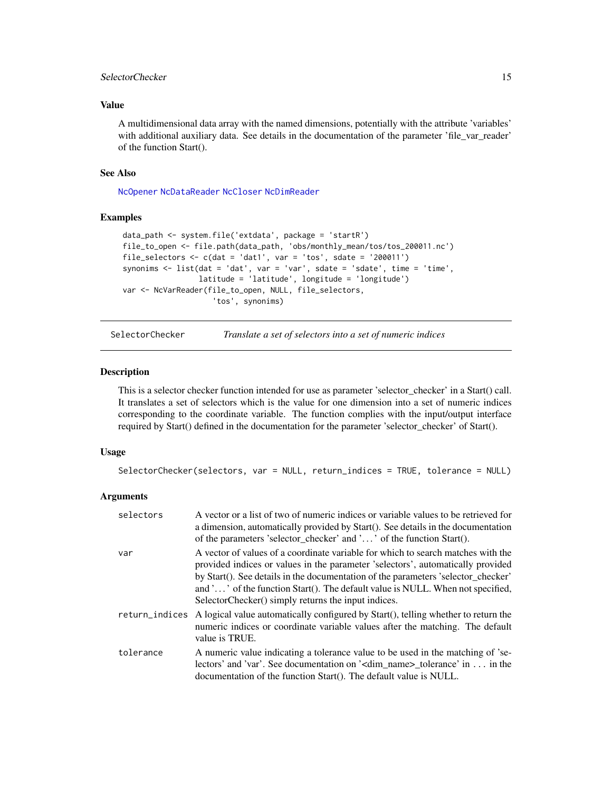# <span id="page-14-0"></span>SelectorChecker 15

#### Value

A multidimensional data array with the named dimensions, potentially with the attribute 'variables' with additional auxiliary data. See details in the documentation of the parameter 'file\_var\_reader' of the function Start().

#### See Also

[NcOpener](#page-12-1) [NcDataReader](#page-9-1) [NcCloser](#page-9-2) [NcDimReader](#page-11-1)

#### Examples

```
data_path <- system.file('extdata', package = 'startR')
file_to_open <- file.path(data_path, 'obs/monthly_mean/tos/tos_200011.nc')
file_selectors <- c(dat = 'dat1', var = 'tos', sdate = '200011')
synonims <- list(dat = 'dat', var = 'var', sdate = 'sdate', time = 'time',
                 latitude = 'latitude', longitude = 'longitude')
var <- NcVarReader(file_to_open, NULL, file_selectors,
                    'tos', synonims)
```
SelectorChecker *Translate a set of selectors into a set of numeric indices*

#### Description

This is a selector checker function intended for use as parameter 'selector\_checker' in a Start() call. It translates a set of selectors which is the value for one dimension into a set of numeric indices corresponding to the coordinate variable. The function complies with the input/output interface required by Start() defined in the documentation for the parameter 'selector\_checker' of Start().

#### Usage

```
SelectorChecker(selectors, var = NULL, return_indices = TRUE, tolerance = NULL)
```
#### Arguments

| selectors | A vector or a list of two of numeric indices or variable values to be retrieved for<br>a dimension, automatically provided by Start(). See details in the documentation<br>of the parameters 'selector_checker' and '' of the function Start().                                                                                                                                                   |
|-----------|---------------------------------------------------------------------------------------------------------------------------------------------------------------------------------------------------------------------------------------------------------------------------------------------------------------------------------------------------------------------------------------------------|
| var       | A vector of values of a coordinate variable for which to search matches with the<br>provided indices or values in the parameter 'selectors', automatically provided<br>by Start(). See details in the documentation of the parameters 'selector checker'<br>and '' of the function Start(). The default value is NULL. When not specified,<br>SelectorChecker() simply returns the input indices. |
|           | return_indices A logical value automatically configured by Start(), telling whether to return the<br>numeric indices or coordinate variable values after the matching. The default<br>value is TRUE.                                                                                                                                                                                              |
| tolerance | A numeric value indicating a tolerance value to be used in the matching of 'se-<br>lectors' and 'var'. See documentation on ' <dim_name>_tolerance' in  in the<br/>documentation of the function Start(). The default value is NULL.</dim_name>                                                                                                                                                   |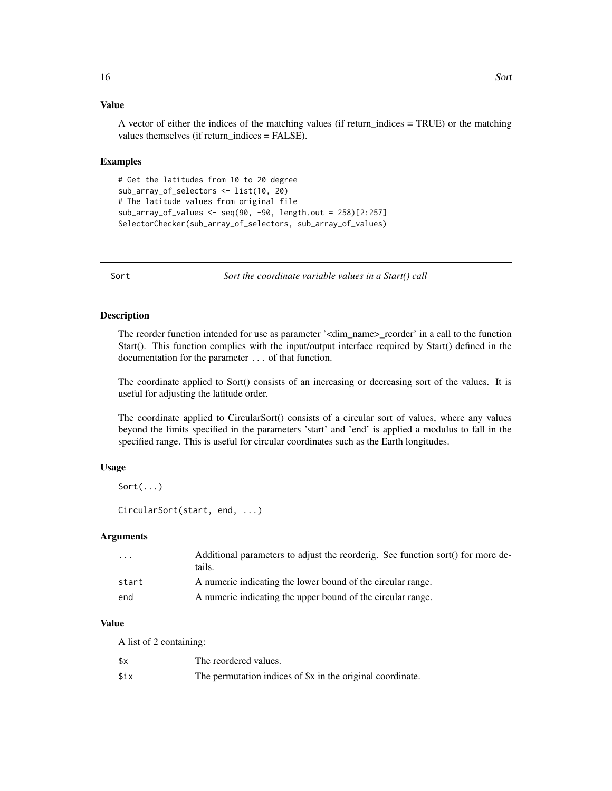# Value

A vector of either the indices of the matching values (if return\_indices = TRUE) or the matching values themselves (if return\_indices = FALSE).

#### Examples

```
# Get the latitudes from 10 to 20 degree
sub_array_of_selectors <- list(10, 20)
# The latitude values from original file
sub_array_of_values <- seq(90, -90, length.out = 258)[2:257]
SelectorChecker(sub_array_of_selectors, sub_array_of_values)
```
Sort *Sort the coordinate variable values in a Start() call*

#### Description

The reorder function intended for use as parameter '<dim\_name>\_reorder' in a call to the function Start(). This function complies with the input/output interface required by Start() defined in the documentation for the parameter ... of that function.

The coordinate applied to Sort() consists of an increasing or decreasing sort of the values. It is useful for adjusting the latitude order.

The coordinate applied to CircularSort() consists of a circular sort of values, where any values beyond the limits specified in the parameters 'start' and 'end' is applied a modulus to fall in the specified range. This is useful for circular coordinates such as the Earth longitudes.

#### Usage

```
Sort(...)
```
CircularSort(start, end, ...)

#### **Arguments**

| Additional parameters to adjust the reorderig. See function sort() for more de- |
|---------------------------------------------------------------------------------|
|                                                                                 |
|                                                                                 |
|                                                                                 |

### Value

A list of 2 containing:

| \$х  | The reordered values.                                      |
|------|------------------------------------------------------------|
| \$ix | The permutation indices of \$x in the original coordinate. |

<span id="page-15-0"></span>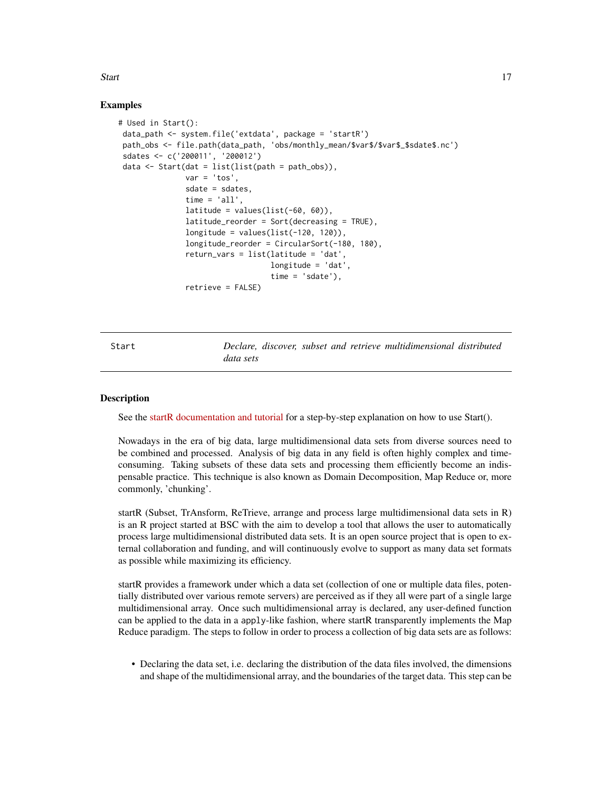# <span id="page-16-0"></span>Start 17

#### Examples

```
# Used in Start():
data_path <- system.file('extdata', package = 'startR')
path_obs <- file.path(data_path, 'obs/monthly_mean/$var$/$var$_$sdate$.nc')
sdates <- c('200011', '200012')
data \le Start(dat = list(list(path = path_obs)),
              var = 'tos'.sdate = sdates,
               time = 'all',
               latitude = values(list(-60, 60)),
               latitude_reorder = Sort(decreasing = TRUE),
               longitude = values(list(-120, 120)),
               longitude_reorder = CircularSort(-180, 180),
               return_vars = list(latitude = 'dat',
                                  longitude = 'dat',
                                  time = 'sdate'),retrieve = FALSE)
```
Start *Declare, discover, subset and retrieve multidimensional distributed data sets*

#### **Description**

See the [startR documentation and tutorial](https://earth.bsc.es/gitlab/es/startR) for a step-by-step explanation on how to use Start().

Nowadays in the era of big data, large multidimensional data sets from diverse sources need to be combined and processed. Analysis of big data in any field is often highly complex and timeconsuming. Taking subsets of these data sets and processing them efficiently become an indispensable practice. This technique is also known as Domain Decomposition, Map Reduce or, more commonly, 'chunking'.

startR (Subset, TrAnsform, ReTrieve, arrange and process large multidimensional data sets in R) is an R project started at BSC with the aim to develop a tool that allows the user to automatically process large multidimensional distributed data sets. It is an open source project that is open to external collaboration and funding, and will continuously evolve to support as many data set formats as possible while maximizing its efficiency.

startR provides a framework under which a data set (collection of one or multiple data files, potentially distributed over various remote servers) are perceived as if they all were part of a single large multidimensional array. Once such multidimensional array is declared, any user-defined function can be applied to the data in a apply-like fashion, where startR transparently implements the Map Reduce paradigm. The steps to follow in order to process a collection of big data sets are as follows:

• Declaring the data set, i.e. declaring the distribution of the data files involved, the dimensions and shape of the multidimensional array, and the boundaries of the target data. This step can be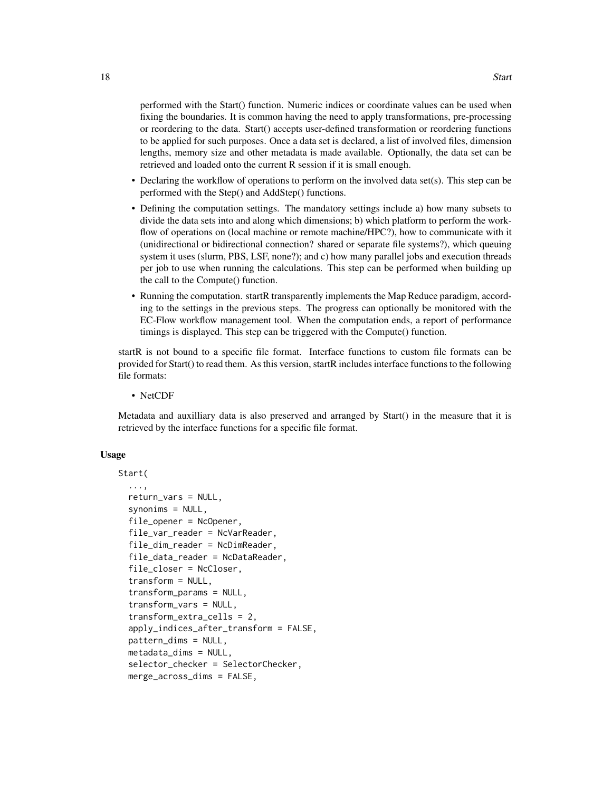performed with the Start() function. Numeric indices or coordinate values can be used when fixing the boundaries. It is common having the need to apply transformations, pre-processing or reordering to the data. Start() accepts user-defined transformation or reordering functions to be applied for such purposes. Once a data set is declared, a list of involved files, dimension lengths, memory size and other metadata is made available. Optionally, the data set can be retrieved and loaded onto the current R session if it is small enough.

- Declaring the workflow of operations to perform on the involved data set(s). This step can be performed with the Step() and AddStep() functions.
- Defining the computation settings. The mandatory settings include a) how many subsets to divide the data sets into and along which dimensions; b) which platform to perform the workflow of operations on (local machine or remote machine/HPC?), how to communicate with it (unidirectional or bidirectional connection? shared or separate file systems?), which queuing system it uses (slurm, PBS, LSF, none?); and c) how many parallel jobs and execution threads per job to use when running the calculations. This step can be performed when building up the call to the Compute() function.
- Running the computation. startR transparently implements the Map Reduce paradigm, according to the settings in the previous steps. The progress can optionally be monitored with the EC-Flow workflow management tool. When the computation ends, a report of performance timings is displayed. This step can be triggered with the Compute() function.

startR is not bound to a specific file format. Interface functions to custom file formats can be provided for Start() to read them. As this version, startR includes interface functions to the following file formats:

• NetCDF

Metadata and auxilliary data is also preserved and arranged by Start() in the measure that it is retrieved by the interface functions for a specific file format.

#### Usage

```
Start(
  ...,
  return_vars = NULL,
  synonims = NULL,
  file_opener = NcOpener,
  file_var_reader = NcVarReader,
  file_dim_reader = NcDimReader,
  file_data_reader = NcDataReader,
  file_closer = NcCloser,
  transform = NULL,
  transform_params = NULL,
  transform_vars = NULL,
  transform_extra_cells = 2,
  apply_indices_after_transform = FALSE,
  pattern_dims = NULL,
  metadata_dims = NULL,
  selector_checker = SelectorChecker,
  merge_across_dims = FALSE,
```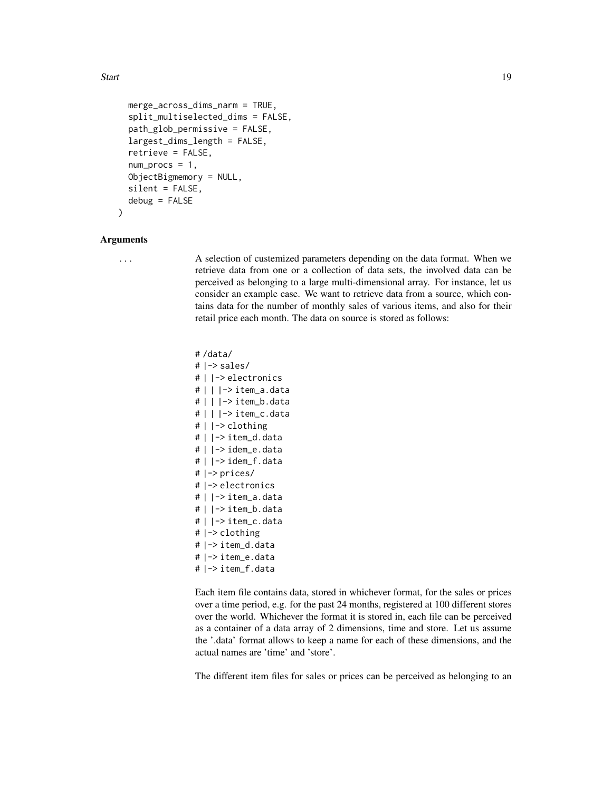Start 19

```
merge_across_dims_narm = TRUE,
split_multiselected_dims = FALSE,
path_glob_permissive = FALSE,
largest_dims_length = FALSE,
retrieve = FALSE,
num\_process = 1,
ObjectBigmemory = NULL,
silent = FALSE,
debug = FALSE
```
#### Arguments

)

... A selection of custemized parameters depending on the data format. When we retrieve data from one or a collection of data sets, the involved data can be perceived as belonging to a large multi-dimensional array. For instance, let us consider an example case. We want to retrieve data from a source, which contains data for the number of monthly sales of various items, and also for their retail price each month. The data on source is stored as follows:

> # /data/ # |-> sales/ # | |-> electronics # | | |-> item\_a.data # | | |-> item\_b.data # | | |-> item\_c.data # | |-> clothing # | |-> item\_d.data # | |-> idem\_e.data # | |-> idem\_f.data # |-> prices/ # |-> electronics # | |-> item\_a.data # | |-> item\_b.data # | |-> item\_c.data # |-> clothing # |-> item\_d.data # |-> item\_e.data # |-> item\_f.data

Each item file contains data, stored in whichever format, for the sales or prices over a time period, e.g. for the past 24 months, registered at 100 different stores over the world. Whichever the format it is stored in, each file can be perceived as a container of a data array of 2 dimensions, time and store. Let us assume the '.data' format allows to keep a name for each of these dimensions, and the actual names are 'time' and 'store'.

The different item files for sales or prices can be perceived as belonging to an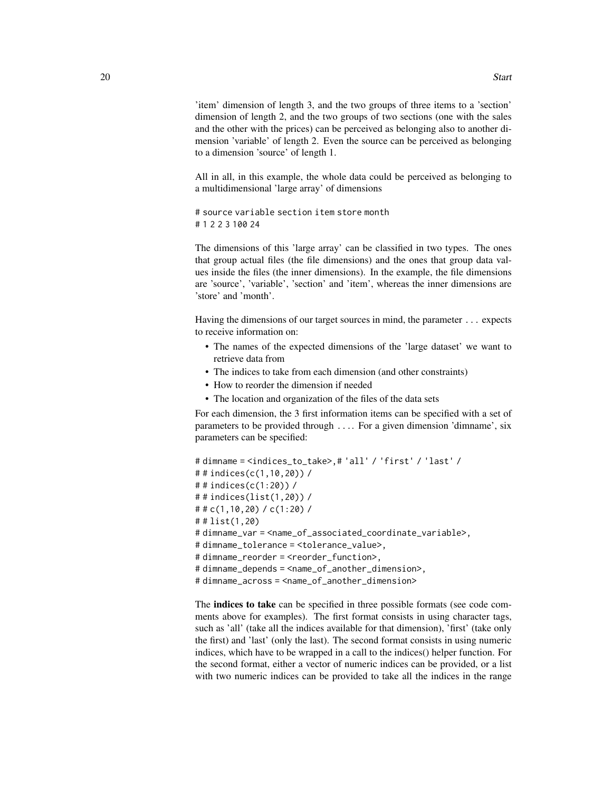'item' dimension of length 3, and the two groups of three items to a 'section' dimension of length 2, and the two groups of two sections (one with the sales and the other with the prices) can be perceived as belonging also to another dimension 'variable' of length 2. Even the source can be perceived as belonging to a dimension 'source' of length 1.

All in all, in this example, the whole data could be perceived as belonging to a multidimensional 'large array' of dimensions

# source variable section item store month # 1 2 2 3 100 24

The dimensions of this 'large array' can be classified in two types. The ones that group actual files (the file dimensions) and the ones that group data values inside the files (the inner dimensions). In the example, the file dimensions are 'source', 'variable', 'section' and 'item', whereas the inner dimensions are 'store' and 'month'.

Having the dimensions of our target sources in mind, the parameter ... expects to receive information on:

- The names of the expected dimensions of the 'large dataset' we want to retrieve data from
- The indices to take from each dimension (and other constraints)
- How to reorder the dimension if needed
- The location and organization of the files of the data sets

For each dimension, the 3 first information items can be specified with a set of parameters to be provided through .... For a given dimension 'dimname', six parameters can be specified:

```
# dimname = <indices_to_take>,# 'all' / 'first' / 'last' /
# # indices(c(1,10,20)) /
# # indices(c(1:20)) /
# # indices(list(1,20)) /
# # c(1,10,20) / c(1:20) /
# # list(1,20)
# dimname_var = <name_of_associated_coordinate_variable>,
# dimname_tolerance = <tolerance_value>,
# dimname_reorder = <reorder_function>,
# dimname_depends = <name_of_another_dimension>,
# dimname_across = <name_of_another_dimension>
```
The indices to take can be specified in three possible formats (see code comments above for examples). The first format consists in using character tags, such as 'all' (take all the indices available for that dimension), 'first' (take only the first) and 'last' (only the last). The second format consists in using numeric indices, which have to be wrapped in a call to the indices() helper function. For the second format, either a vector of numeric indices can be provided, or a list with two numeric indices can be provided to take all the indices in the range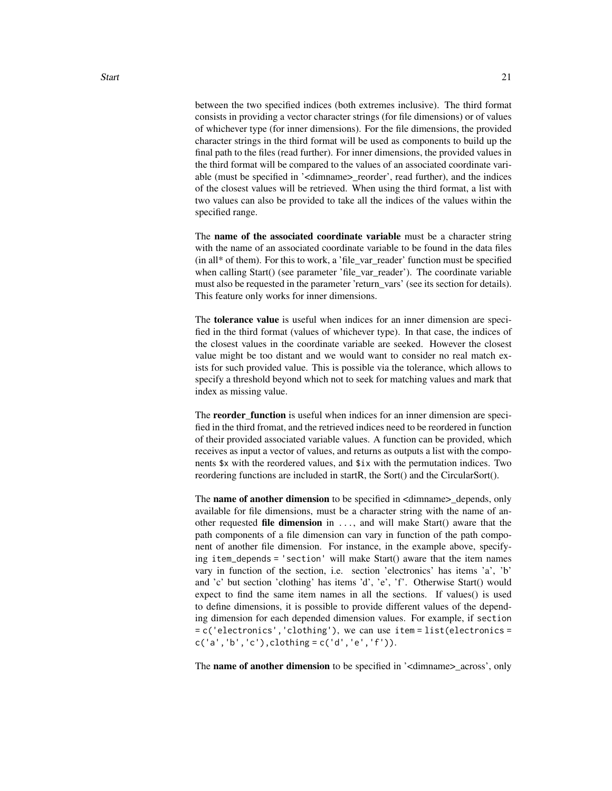between the two specified indices (both extremes inclusive). The third format consists in providing a vector character strings (for file dimensions) or of values of whichever type (for inner dimensions). For the file dimensions, the provided character strings in the third format will be used as components to build up the final path to the files (read further). For inner dimensions, the provided values in the third format will be compared to the values of an associated coordinate variable (must be specified in '<dimname>\_reorder', read further), and the indices of the closest values will be retrieved. When using the third format, a list with two values can also be provided to take all the indices of the values within the specified range.

The name of the associated coordinate variable must be a character string with the name of an associated coordinate variable to be found in the data files (in all\* of them). For this to work, a 'file\_var\_reader' function must be specified when calling Start() (see parameter 'file\_var\_reader'). The coordinate variable must also be requested in the parameter 'return\_vars' (see its section for details). This feature only works for inner dimensions.

The tolerance value is useful when indices for an inner dimension are specified in the third format (values of whichever type). In that case, the indices of the closest values in the coordinate variable are seeked. However the closest value might be too distant and we would want to consider no real match exists for such provided value. This is possible via the tolerance, which allows to specify a threshold beyond which not to seek for matching values and mark that index as missing value.

The **reorder function** is useful when indices for an inner dimension are speci-fied in the third fromat, and the retrieved indices need to be reordered in function of their provided associated variable values. A function can be provided, which receives as input a vector of values, and returns as outputs a list with the components \$x with the reordered values, and \$ix with the permutation indices. Two reordering functions are included in startR, the Sort() and the CircularSort().

The **name of another dimension** to be specified in  $\leq$  dimname betweends, only available for file dimensions, must be a character string with the name of another requested file dimension in ..., and will make Start() aware that the path components of a file dimension can vary in function of the path component of another file dimension. For instance, in the example above, specifying item\_depends = 'section' will make Start() aware that the item names vary in function of the section, i.e. section 'electronics' has items 'a', 'b' and 'c' but section 'clothing' has items 'd', 'e', 'f'. Otherwise Start() would expect to find the same item names in all the sections. If values() is used to define dimensions, it is possible to provide different values of the depending dimension for each depended dimension values. For example, if section = c('electronics','clothing'), we can use item = list(electronics =  $c('a', 'b', 'c'), clothing = c('d', 'e', 'f')).$ 

The **name of another dimension** to be specified in '<dimname>\_across', only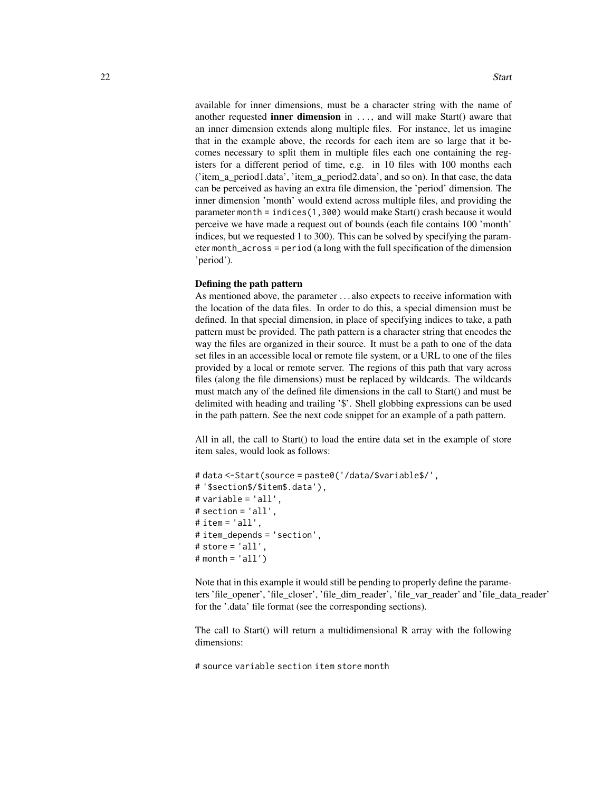available for inner dimensions, must be a character string with the name of another requested inner dimension in ..., and will make Start() aware that an inner dimension extends along multiple files. For instance, let us imagine that in the example above, the records for each item are so large that it becomes necessary to split them in multiple files each one containing the registers for a different period of time, e.g. in 10 files with 100 months each ('item\_a\_period1.data', 'item\_a\_period2.data', and so on). In that case, the data can be perceived as having an extra file dimension, the 'period' dimension. The inner dimension 'month' would extend across multiple files, and providing the parameter month = indices(1,300) would make Start() crash because it would perceive we have made a request out of bounds (each file contains 100 'month' indices, but we requested 1 to 300). This can be solved by specifying the parameter month\_across = period (a long with the full specification of the dimension 'period').

#### Defining the path pattern

As mentioned above, the parameter . . . also expects to receive information with the location of the data files. In order to do this, a special dimension must be defined. In that special dimension, in place of specifying indices to take, a path pattern must be provided. The path pattern is a character string that encodes the way the files are organized in their source. It must be a path to one of the data set files in an accessible local or remote file system, or a URL to one of the files provided by a local or remote server. The regions of this path that vary across files (along the file dimensions) must be replaced by wildcards. The wildcards must match any of the defined file dimensions in the call to Start() and must be delimited with heading and trailing '\$'. Shell globbing expressions can be used in the path pattern. See the next code snippet for an example of a path pattern.

All in all, the call to Start() to load the entire data set in the example of store item sales, would look as follows:

```
# data <-Start(source = paste0('/data/$variable$/',
# '$section$/$item$.data'),
# variable = 'all',
# section = 'all',
# item = 'all',
# item_depends = 'section',
# store = 'all',# month = 'all')
```
Note that in this example it would still be pending to properly define the parameters 'file\_opener', 'file\_closer', 'file\_dim\_reader', 'file\_var\_reader' and 'file\_data\_reader' for the '.data' file format (see the corresponding sections).

The call to Start() will return a multidimensional R array with the following dimensions:

# source variable section item store month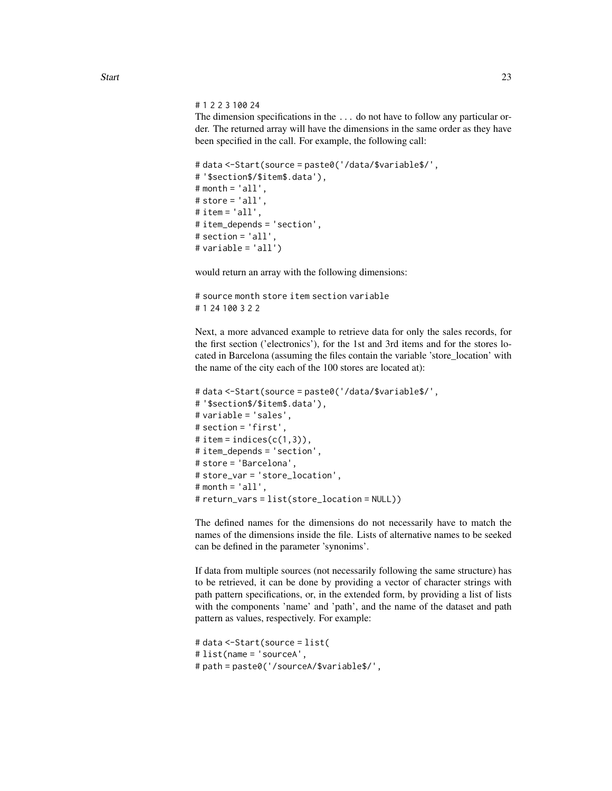# 1 2 2 3 100 24

The dimension specifications in the ... do not have to follow any particular order. The returned array will have the dimensions in the same order as they have been specified in the call. For example, the following call:

```
# data <-Start(source = paste0('/data/$variable$/',
# '$section$/$item$.data'),
# month = 'all',
# store = 'all',# item = 'all',# item_depends = 'section',
# section = 'all',
# variable = 'all')
```
would return an array with the following dimensions:

```
# source month store item section variable
# 1 24 100 3 2 2
```
Next, a more advanced example to retrieve data for only the sales records, for the first section ('electronics'), for the 1st and 3rd items and for the stores located in Barcelona (assuming the files contain the variable 'store\_location' with the name of the city each of the 100 stores are located at):

```
# data <-Start(source = paste0('/data/$variable$/',
# '$section$/$item$.data'),
# variable = 'sales',
# section = 'first',
# item = indices(c(1,3)),
# item_depends = 'section',
# store = 'Barcelona',
# store_var = 'store_location',
# month = 'all',
# return_vars = list(store_location = NULL))
```
The defined names for the dimensions do not necessarily have to match the names of the dimensions inside the file. Lists of alternative names to be seeked can be defined in the parameter 'synonims'.

If data from multiple sources (not necessarily following the same structure) has to be retrieved, it can be done by providing a vector of character strings with path pattern specifications, or, in the extended form, by providing a list of lists with the components 'name' and 'path', and the name of the dataset and path pattern as values, respectively. For example:

```
# data <-Start(source = list(
# list(name = 'sourceA',
# path = paste0('/sourceA/$variable$/',
```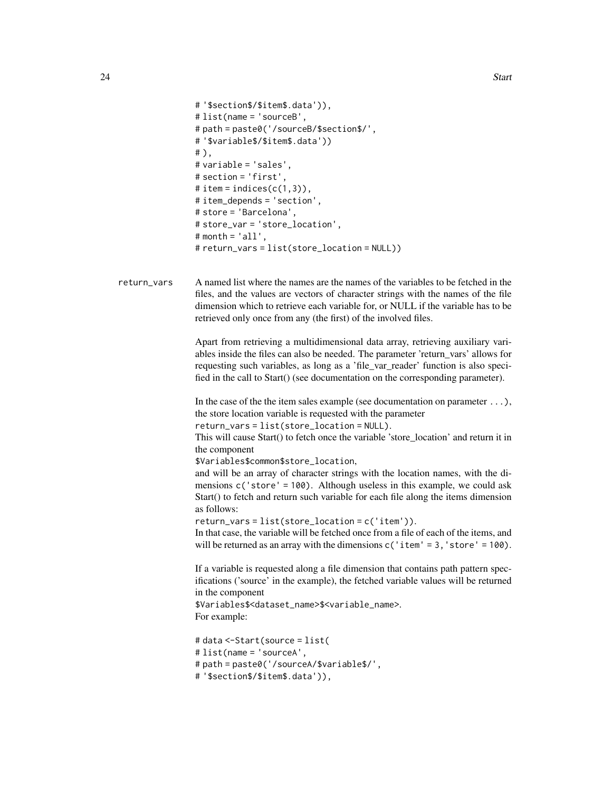```
# '$section$/$item$.data')),
# list(name = 'sourceB',
# path = paste0('/sourceB/$section$/',
# '$variable$/$item$.data'))
# ),
# variable = 'sales',
# section = 'first',
# item = indices(c(1,3)),
# item_depends = 'section',
# store = 'Barcelona',
# store_var = 'store_location',
# month = 'all',
# return_vars = list(store_location = NULL))
```
return\_vars A named list where the names are the names of the variables to be fetched in the files, and the values are vectors of character strings with the names of the file dimension which to retrieve each variable for, or NULL if the variable has to be retrieved only once from any (the first) of the involved files.

> Apart from retrieving a multidimensional data array, retrieving auxiliary variables inside the files can also be needed. The parameter 'return\_vars' allows for requesting such variables, as long as a 'file\_var\_reader' function is also specified in the call to Start() (see documentation on the corresponding parameter).

> In the case of the the item sales example (see documentation on parameter  $\dots$ ), the store location variable is requested with the parameter

return\_vars = list(store\_location = NULL).

This will cause Start() to fetch once the variable 'store\_location' and return it in the component

\$Variables\$common\$store\_location,

and will be an array of character strings with the location names, with the dimensions c('store' = 100). Although useless in this example, we could ask Start() to fetch and return such variable for each file along the items dimension as follows:

return\_vars = list(store\_location = c('item')).

In that case, the variable will be fetched once from a file of each of the items, and will be returned as an array with the dimensions  $c('item' = 3, 'store' = 100)$ .

If a variable is requested along a file dimension that contains path pattern specifications ('source' in the example), the fetched variable values will be returned in the component

\$Variables\$<dataset\_name>\$<variable\_name>. For example:

# data <-Start(source = list( # list(name = 'sourceA', # path = paste0('/sourceA/\$variable\$/', # '\$section\$/\$item\$.data')),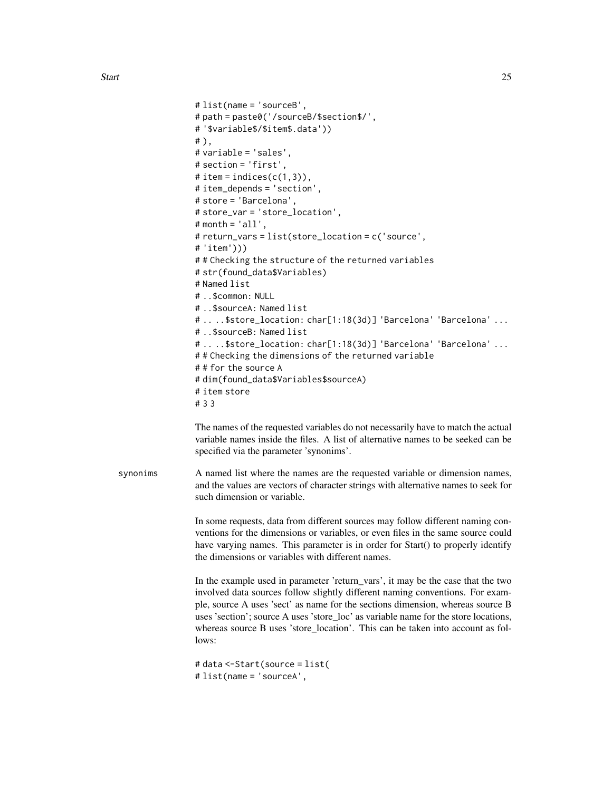```
# list(name = 'sourceB',
                 # path = paste0('/sourceB/$section$/',
                 # '$variable$/$item$.data'))
                 # ),
                 # variable = 'sales',
                 # section = 'first',
                 # item = indices(c(1,3)),
                 # item_depends = 'section',
                 # store = 'Barcelona',
                 # store_var = 'store_location',
                 # month = 'all',# return_vars = list(store_location = c('source',
                 # 'item')))
                 # # Checking the structure of the returned variables
                 # str(found_data$Variables)
                 # Named list
                 # ..$common: NULL
                 # ..$sourceA: Named list
                 # .. ..$store_location: char[1:18(3d)] 'Barcelona' 'Barcelona' ...
                 # ..$sourceB: Named list
                 # .. ..$store_location: char[1:18(3d)] 'Barcelona' 'Barcelona' ...
                 ## Checking the dimensions of the returned variable
                 # # for the source A
                 # dim(found_data$Variables$sourceA)
                 # item store
                 # 3 3
                 The names of the requested variables do not necessarily have to match the actual
                 variable names inside the files. A list of alternative names to be seeked can be
                 specified via the parameter 'synonims'.
synonims A named list where the names are the requested variable or dimension names,
                 and the values are vectors of character strings with alternative names to seek for
                 such dimension or variable.
```
In some requests, data from different sources may follow different naming conventions for the dimensions or variables, or even files in the same source could have varying names. This parameter is in order for Start() to properly identify the dimensions or variables with different names.

In the example used in parameter 'return\_vars', it may be the case that the two involved data sources follow slightly different naming conventions. For example, source A uses 'sect' as name for the sections dimension, whereas source B uses 'section'; source A uses 'store\_loc' as variable name for the store locations, whereas source B uses 'store\_location'. This can be taken into account as follows:

```
# data <-Start(source = list(
# list(name = 'sourceA',
```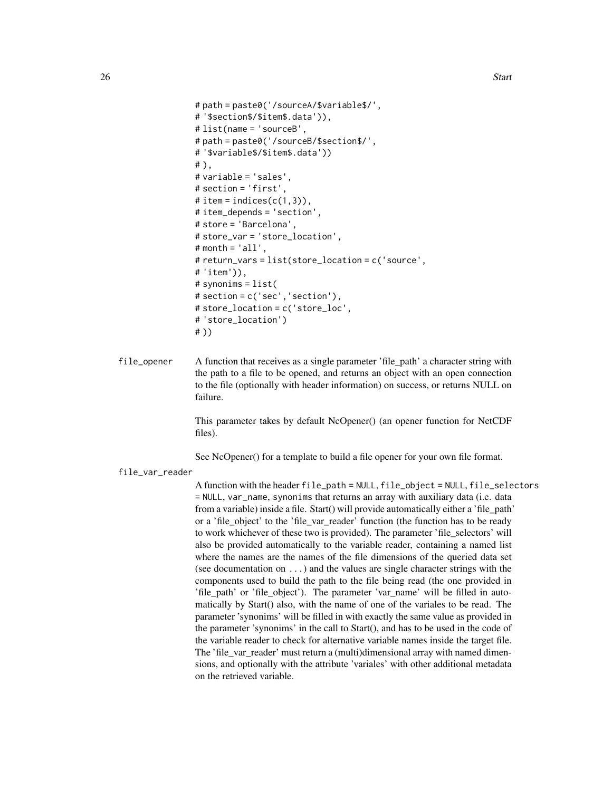```
# path = paste0('/sourceA/$variable$/',
# '$section$/$item$.data')),
# list(name = 'sourceB',
# path = paste0('/sourceB/$section$/',
# '$variable$/$item$.data'))
# ),
# variable = 'sales',
# section = 'first',
# item = indices(c(1,3)),
# item_depends = 'section',
# store = 'Barcelona',
# store_var = 'store_location',
# month = 'all',
# return_vars = list(store_location = c('source',
# 'item')),
# synonims = list(
# section = c('sec','section'),
# store_location = c('store_loc',
# 'store_location')
# ))
```
file\_opener A function that receives as a single parameter 'file\_path' a character string with the path to a file to be opened, and returns an object with an open connection to the file (optionally with header information) on success, or returns NULL on failure.

> This parameter takes by default NcOpener() (an opener function for NetCDF files).

See NcOpener() for a template to build a file opener for your own file format.

file\_var\_reader

A function with the header  $file$  =  $NULL$ ,  $file$   $object$  =  $NULL$ ,  $file$   $select$  ors = NULL, var\_name, synonims that returns an array with auxiliary data (i.e. data from a variable) inside a file. Start() will provide automatically either a 'file\_path' or a 'file\_object' to the 'file\_var\_reader' function (the function has to be ready to work whichever of these two is provided). The parameter 'file\_selectors' will also be provided automatically to the variable reader, containing a named list where the names are the names of the file dimensions of the queried data set (see documentation on ...) and the values are single character strings with the components used to build the path to the file being read (the one provided in 'file\_path' or 'file\_object'). The parameter 'var\_name' will be filled in automatically by Start() also, with the name of one of the variales to be read. The parameter 'synonims' will be filled in with exactly the same value as provided in the parameter 'synonims' in the call to Start(), and has to be used in the code of the variable reader to check for alternative variable names inside the target file. The 'file\_var\_reader' must return a (multi)dimensional array with named dimensions, and optionally with the attribute 'variales' with other additional metadata on the retrieved variable.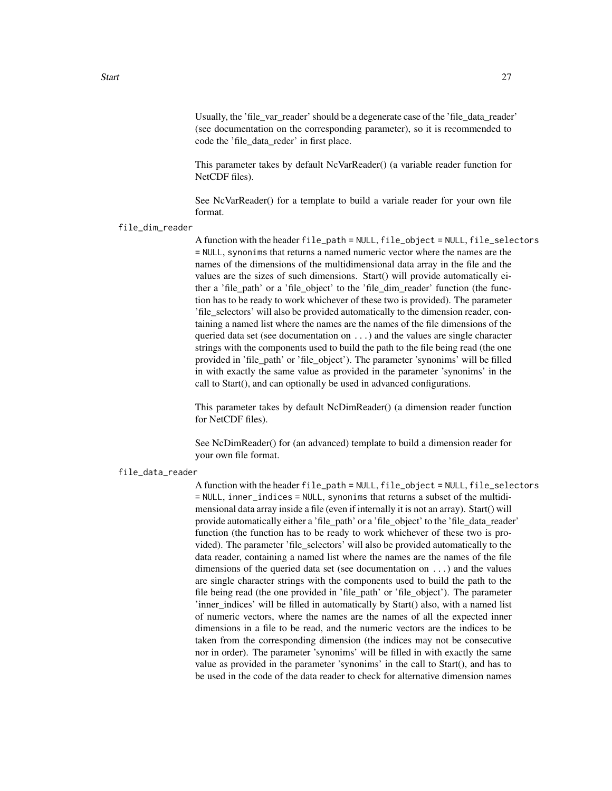Usually, the 'file var reader' should be a degenerate case of the 'file data reader' (see documentation on the corresponding parameter), so it is recommended to code the 'file\_data\_reder' in first place.

This parameter takes by default NcVarReader() (a variable reader function for NetCDF files).

See NcVarReader() for a template to build a variale reader for your own file format.

file\_dim\_reader

A function with the header file\_path = NULL, file\_object = NULL, file\_selectors = NULL, synonims that returns a named numeric vector where the names are the names of the dimensions of the multidimensional data array in the file and the values are the sizes of such dimensions. Start() will provide automatically either a 'file\_path' or a 'file\_object' to the 'file\_dim\_reader' function (the function has to be ready to work whichever of these two is provided). The parameter 'file\_selectors' will also be provided automatically to the dimension reader, containing a named list where the names are the names of the file dimensions of the queried data set (see documentation on ...) and the values are single character strings with the components used to build the path to the file being read (the one provided in 'file\_path' or 'file\_object'). The parameter 'synonims' will be filled in with exactly the same value as provided in the parameter 'synonims' in the call to Start(), and can optionally be used in advanced configurations.

This parameter takes by default NcDimReader() (a dimension reader function for NetCDF files).

See NcDimReader() for (an advanced) template to build a dimension reader for your own file format.

#### file\_data\_reader

A function with the header  $file$  =  $NULL$ ,  $file$   $object$  =  $NULL$ ,  $file$   $select$  ors = NULL, inner\_indices = NULL, synonims that returns a subset of the multidimensional data array inside a file (even if internally it is not an array). Start() will provide automatically either a 'file\_path' or a 'file\_object' to the 'file\_data\_reader' function (the function has to be ready to work whichever of these two is provided). The parameter 'file\_selectors' will also be provided automatically to the data reader, containing a named list where the names are the names of the file dimensions of the queried data set (see documentation on ...) and the values are single character strings with the components used to build the path to the file being read (the one provided in 'file\_path' or 'file\_object'). The parameter 'inner\_indices' will be filled in automatically by Start() also, with a named list of numeric vectors, where the names are the names of all the expected inner dimensions in a file to be read, and the numeric vectors are the indices to be taken from the corresponding dimension (the indices may not be consecutive nor in order). The parameter 'synonims' will be filled in with exactly the same value as provided in the parameter 'synonims' in the call to Start(), and has to be used in the code of the data reader to check for alternative dimension names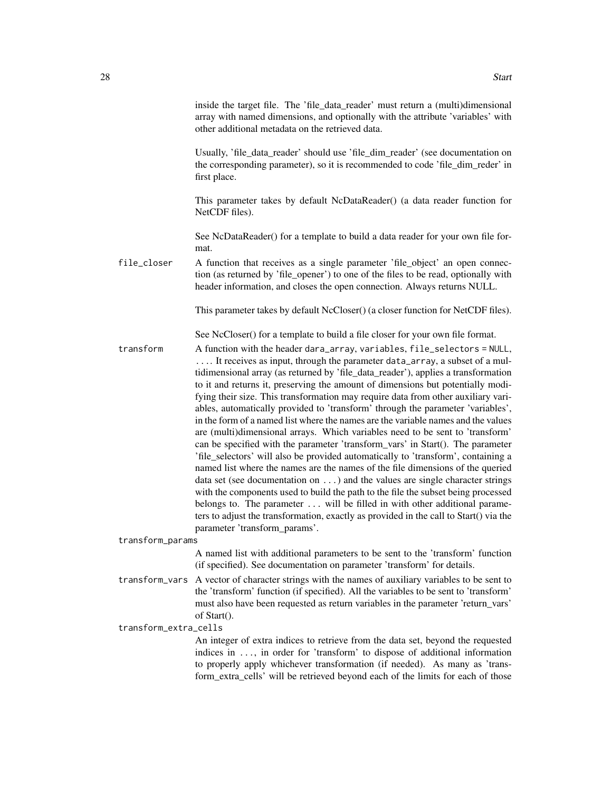inside the target file. The 'file\_data\_reader' must return a (multi)dimensional array with named dimensions, and optionally with the attribute 'variables' with other additional metadata on the retrieved data.

Usually, 'file\_data\_reader' should use 'file\_dim\_reader' (see documentation on the corresponding parameter), so it is recommended to code 'file\_dim\_reder' in first place.

This parameter takes by default NcDataReader() (a data reader function for NetCDF files).

See NcDataReader() for a template to build a data reader for your own file format.

file\_closer A function that receives as a single parameter 'file\_object' an open connection (as returned by 'file\_opener') to one of the files to be read, optionally with header information, and closes the open connection. Always returns NULL.

This parameter takes by default NcCloser() (a closer function for NetCDF files).

See NcCloser() for a template to build a file closer for your own file format.

transform A function with the header dara\_array, variables, file\_selectors = NULL, .... It receives as input, through the parameter data\_array, a subset of a multidimensional array (as returned by 'file\_data\_reader'), applies a transformation to it and returns it, preserving the amount of dimensions but potentially modifying their size. This transformation may require data from other auxiliary variables, automatically provided to 'transform' through the parameter 'variables', in the form of a named list where the names are the variable names and the values are (multi)dimensional arrays. Which variables need to be sent to 'transform' can be specified with the parameter 'transform\_vars' in Start(). The parameter 'file\_selectors' will also be provided automatically to 'transform', containing a named list where the names are the names of the file dimensions of the queried data set (see documentation on ...) and the values are single character strings with the components used to build the path to the file the subset being processed belongs to. The parameter ... will be filled in with other additional parameters to adjust the transformation, exactly as provided in the call to Start() via the parameter 'transform\_params'.

transform\_params

A named list with additional parameters to be sent to the 'transform' function (if specified). See documentation on parameter 'transform' for details.

transform\_vars A vector of character strings with the names of auxiliary variables to be sent to the 'transform' function (if specified). All the variables to be sent to 'transform' must also have been requested as return variables in the parameter 'return\_vars' of Start().

transform\_extra\_cells

An integer of extra indices to retrieve from the data set, beyond the requested indices in ..., in order for 'transform' to dispose of additional information to properly apply whichever transformation (if needed). As many as 'transform\_extra\_cells' will be retrieved beyond each of the limits for each of those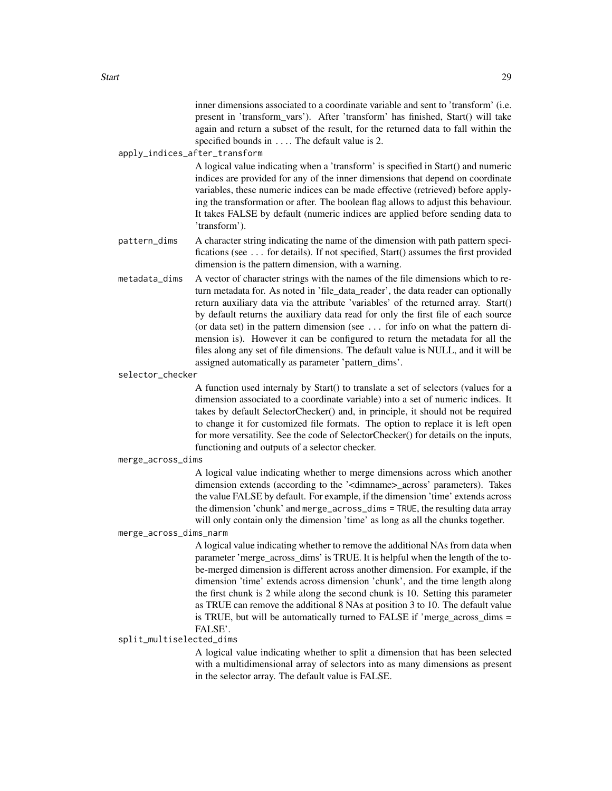inner dimensions associated to a coordinate variable and sent to 'transform' (i.e. present in 'transform\_vars'). After 'transform' has finished, Start() will take again and return a subset of the result, for the returned data to fall within the specified bounds in .... The default value is 2.

apply\_indices\_after\_transform

A logical value indicating when a 'transform' is specified in Start() and numeric indices are provided for any of the inner dimensions that depend on coordinate variables, these numeric indices can be made effective (retrieved) before applying the transformation or after. The boolean flag allows to adjust this behaviour. It takes FALSE by default (numeric indices are applied before sending data to 'transform').

- pattern\_dims A character string indicating the name of the dimension with path pattern specifications (see ... for details). If not specified, Start() assumes the first provided dimension is the pattern dimension, with a warning.
- metadata\_dims A vector of character strings with the names of the file dimensions which to return metadata for. As noted in 'file\_data\_reader', the data reader can optionally return auxiliary data via the attribute 'variables' of the returned array. Start() by default returns the auxiliary data read for only the first file of each source (or data set) in the pattern dimension (see ... for info on what the pattern dimension is). However it can be configured to return the metadata for all the files along any set of file dimensions. The default value is NULL, and it will be assigned automatically as parameter 'pattern\_dims'.

selector\_checker

A function used internaly by Start() to translate a set of selectors (values for a dimension associated to a coordinate variable) into a set of numeric indices. It takes by default SelectorChecker() and, in principle, it should not be required to change it for customized file formats. The option to replace it is left open for more versatility. See the code of SelectorChecker() for details on the inputs, functioning and outputs of a selector checker.

merge\_across\_dims

A logical value indicating whether to merge dimensions across which another dimension extends (according to the '<dimname>\_across' parameters). Takes the value FALSE by default. For example, if the dimension 'time' extends across the dimension 'chunk' and merge\_across\_dims = TRUE, the resulting data array will only contain only the dimension 'time' as long as all the chunks together.

#### merge\_across\_dims\_narm

A logical value indicating whether to remove the additional NAs from data when parameter 'merge\_across\_dims' is TRUE. It is helpful when the length of the tobe-merged dimension is different across another dimension. For example, if the dimension 'time' extends across dimension 'chunk', and the time length along the first chunk is 2 while along the second chunk is 10. Setting this parameter as TRUE can remove the additional 8 NAs at position 3 to 10. The default value is TRUE, but will be automatically turned to FALSE if 'merge\_across\_dims = FALSE'.

#### split\_multiselected\_dims

A logical value indicating whether to split a dimension that has been selected with a multidimensional array of selectors into as many dimensions as present in the selector array. The default value is FALSE.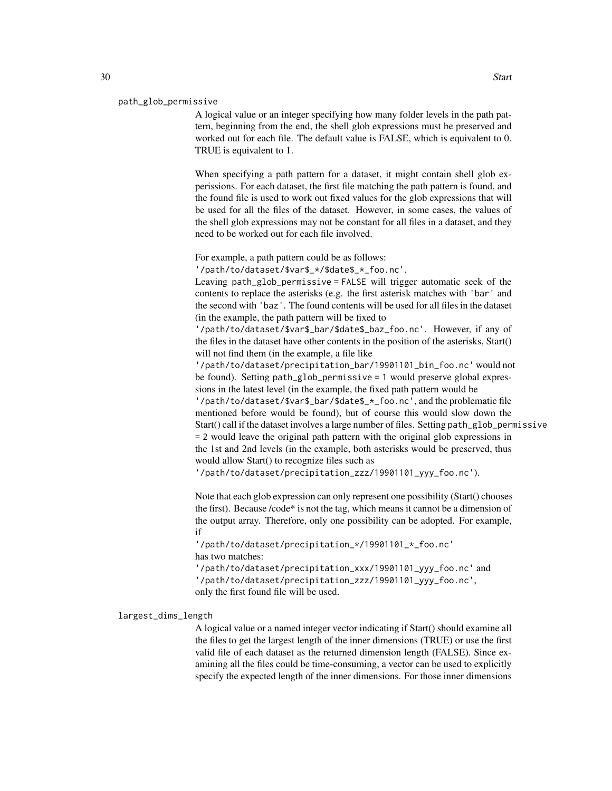#### path\_glob\_permissive

A logical value or an integer specifying how many folder levels in the path pattern, beginning from the end, the shell glob expressions must be preserved and worked out for each file. The default value is FALSE, which is equivalent to 0. TRUE is equivalent to 1.

When specifying a path pattern for a dataset, it might contain shell glob experissions. For each dataset, the first file matching the path pattern is found, and the found file is used to work out fixed values for the glob expressions that will be used for all the files of the dataset. However, in some cases, the values of the shell glob expressions may not be constant for all files in a dataset, and they need to be worked out for each file involved.

For example, a path pattern could be as follows:

'/path/to/dataset/\$var\$\_\*/\$date\$\_\*\_foo.nc'.

Leaving path\_glob\_permissive = FALSE will trigger automatic seek of the contents to replace the asterisks (e.g. the first asterisk matches with 'bar' and the second with 'baz'. The found contents will be used for all files in the dataset (in the example, the path pattern will be fixed to

'/path/to/dataset/\$var\$\_bar/\$date\$\_baz\_foo.nc'. However, if any of the files in the dataset have other contents in the position of the asterisks, Start() will not find them (in the example, a file like

'/path/to/dataset/precipitation\_bar/19901101\_bin\_foo.nc' would not be found). Setting path\_glob\_permissive = 1 would preserve global expressions in the latest level (in the example, the fixed path pattern would be '/path/to/dataset/\$var\$\_bar/\$date\$\_\*\_foo.nc', and the problematic file mentioned before would be found), but of course this would slow down the Start() call if the dataset involves a large number of files. Setting path\_glob\_permissive = 2 would leave the original path pattern with the original glob expressions in the 1st and 2nd levels (in the example, both asterisks would be preserved, thus would allow Start() to recognize files such as

'/path/to/dataset/precipitation\_zzz/19901101\_yyy\_foo.nc').

Note that each glob expression can only represent one possibility (Start() chooses the first). Because /code\* is not the tag, which means it cannot be a dimension of the output array. Therefore, only one possibility can be adopted. For example, if

'/path/to/dataset/precipitation\_\*/19901101\_\*\_foo.nc' has two matches:

'/path/to/dataset/precipitation\_xxx/19901101\_yyy\_foo.nc' and '/path/to/dataset/precipitation\_zzz/19901101\_yyy\_foo.nc', only the first found file will be used.

largest\_dims\_length

A logical value or a named integer vector indicating if Start() should examine all the files to get the largest length of the inner dimensions (TRUE) or use the first valid file of each dataset as the returned dimension length (FALSE). Since examining all the files could be time-consuming, a vector can be used to explicitly specify the expected length of the inner dimensions. For those inner dimensions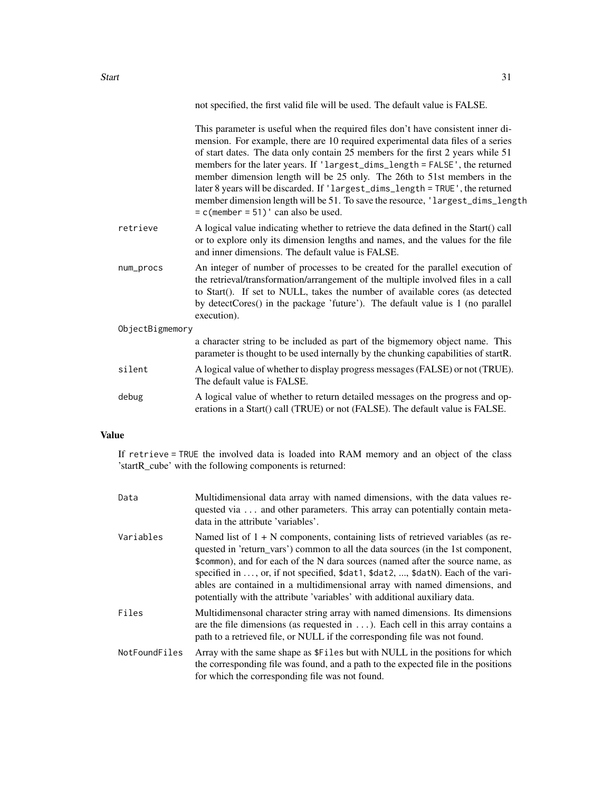Start 31

not specified, the first valid file will be used. The default value is FALSE.

|                 |           | This parameter is useful when the required files don't have consistent inner di-<br>mension. For example, there are 10 required experimental data files of a series<br>of start dates. The data only contain 25 members for the first 2 years while 51<br>members for the later years. If 'largest_dims_length = FALSE', the returned<br>member dimension length will be 25 only. The 26th to 51st members in the<br>later 8 years will be discarded. If 'largest_dims_length = TRUE', the returned<br>member dimension length will be 51. To save the resource, 'largest_dims_length<br>$= c$ (member = 51) ' can also be used. |
|-----------------|-----------|----------------------------------------------------------------------------------------------------------------------------------------------------------------------------------------------------------------------------------------------------------------------------------------------------------------------------------------------------------------------------------------------------------------------------------------------------------------------------------------------------------------------------------------------------------------------------------------------------------------------------------|
|                 | retrieve  | A logical value indicating whether to retrieve the data defined in the Start() call<br>or to explore only its dimension lengths and names, and the values for the file<br>and inner dimensions. The default value is FALSE.                                                                                                                                                                                                                                                                                                                                                                                                      |
|                 | num_procs | An integer of number of processes to be created for the parallel execution of<br>the retrieval/transformation/arrangement of the multiple involved files in a call<br>to Start(). If set to NULL, takes the number of available cores (as detected<br>by detectCores() in the package 'future'). The default value is 1 (no parallel<br>execution).                                                                                                                                                                                                                                                                              |
| ObjectBigmemory |           |                                                                                                                                                                                                                                                                                                                                                                                                                                                                                                                                                                                                                                  |
|                 |           | a character string to be included as part of the bigmemory object name. This<br>parameter is thought to be used internally by the chunking capabilities of startR.                                                                                                                                                                                                                                                                                                                                                                                                                                                               |
|                 | silent    | A logical value of whether to display progress messages (FALSE) or not (TRUE).<br>The default value is FALSE.                                                                                                                                                                                                                                                                                                                                                                                                                                                                                                                    |
|                 | debug     | A logical value of whether to return detailed messages on the progress and op-<br>erations in a Start() call (TRUE) or not (FALSE). The default value is FALSE.                                                                                                                                                                                                                                                                                                                                                                                                                                                                  |
|                 |           |                                                                                                                                                                                                                                                                                                                                                                                                                                                                                                                                                                                                                                  |

# Value

If retrieve = TRUE the involved data is loaded into RAM memory and an object of the class 'startR\_cube' with the following components is returned:

| Data          | Multidimensional data array with named dimensions, with the data values re-<br>quested via and other parameters. This array can potentially contain meta-<br>data in the attribute 'variables'.                                                                                                                                                                                                                                                                                                         |
|---------------|---------------------------------------------------------------------------------------------------------------------------------------------------------------------------------------------------------------------------------------------------------------------------------------------------------------------------------------------------------------------------------------------------------------------------------------------------------------------------------------------------------|
| Variables     | Named list of $1 + N$ components, containing lists of retrieved variables (as re-<br>quested in 'return_vars') common to all the data sources (in the 1st component,<br>\$common), and for each of the N dara sources (named after the source name, as<br>specified in , or, if not specified, \$dat1, \$dat2, , \$datN). Each of the vari-<br>ables are contained in a multidimensional array with named dimensions, and<br>potentially with the attribute 'variables' with additional auxiliary data. |
| Files         | Multidimensonal character string array with named dimensions. Its dimensions<br>are the file dimensions (as requested in $\dots$ ). Each cell in this array contains a<br>path to a retrieved file, or NULL if the corresponding file was not found.                                                                                                                                                                                                                                                    |
| NotFoundFiles | Array with the same shape as \$Files but with NULL in the positions for which<br>the corresponding file was found, and a path to the expected file in the positions<br>for which the corresponding file was not found.                                                                                                                                                                                                                                                                                  |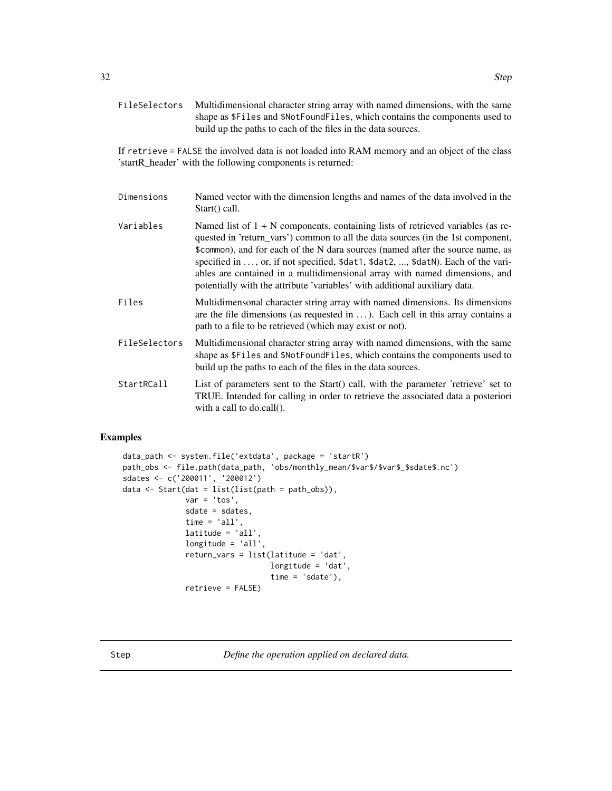<span id="page-31-0"></span>If retrieve = FALSE the involved data is not loaded into RAM memory and an object of the class 'startR\_header' with the following components is returned:

- Dimensions Named vector with the dimension lengths and names of the data involved in the Start() call.
- Variables Named list of  $1 + N$  components, containing lists of retrieved variables (as requested in 'return\_vars') common to all the data sources (in the 1st component, \$common), and for each of the N dara sources (named after the source name, as specified in ..., or, if not specified, \$dat1, \$dat2, ..., \$datN). Each of the variables are contained in a multidimensional array with named dimensions, and potentially with the attribute 'variables' with additional auxiliary data.
- Files Multidimensonal character string array with named dimensions. Its dimensions are the file dimensions (as requested in  $\dots$  ). Each cell in this array contains a path to a file to be retrieved (which may exist or not).
- FileSelectors Multidimensional character string array with named dimensions, with the same shape as \$Files and \$NotFoundFiles, which contains the components used to build up the paths to each of the files in the data sources.
- StartRCall List of parameters sent to the Start() call, with the parameter 'retrieve' set to TRUE. Intended for calling in order to retrieve the associated data a posteriori with a call to do.call().

## Examples

```
data_path <- system.file('extdata', package = 'startR')
path_obs <- file.path(data_path, 'obs/monthly_mean/$var$/$var$_$sdate$.nc')
sdates <- c('200011', '200012')
data \le Start(dat = list(list(path = path_obs)),
              var = 'tos',
              sdate = sdates,
              time = 'all',lattice = 'all'longitude = 'all',
              return_vars = list(latitude = 'dat',
                                 longitude = 'dat',
                                 time = 'sdate'),retrieve = FALSE)
```
Step *Define the operation applied on declared data.*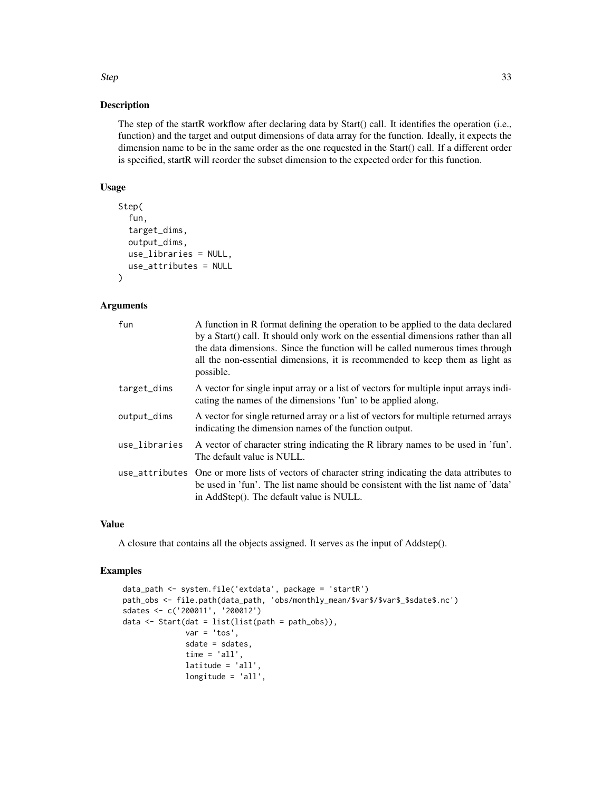# Description

The step of the startR workflow after declaring data by Start() call. It identifies the operation (i.e., function) and the target and output dimensions of data array for the function. Ideally, it expects the dimension name to be in the same order as the one requested in the Start() call. If a different order is specified, startR will reorder the subset dimension to the expected order for this function.

#### Usage

```
Step(
  fun,
  target_dims,
  output_dims,
  use_libraries = NULL,
  use_attributes = NULL
)
```
#### Arguments

| fun           | A function in R format defining the operation to be applied to the data declared<br>by a Start() call. It should only work on the essential dimensions rather than all<br>the data dimensions. Since the function will be called numerous times through<br>all the non-essential dimensions, it is recommended to keep them as light as<br>possible. |
|---------------|------------------------------------------------------------------------------------------------------------------------------------------------------------------------------------------------------------------------------------------------------------------------------------------------------------------------------------------------------|
| target_dims   | A vector for single input array or a list of vectors for multiple input arrays indi-<br>cating the names of the dimensions 'fun' to be applied along.                                                                                                                                                                                                |
| output_dims   | A vector for single returned array or a list of vectors for multiple returned arrays<br>indicating the dimension names of the function output.                                                                                                                                                                                                       |
| use_libraries | A vector of character string indicating the R library names to be used in 'fun'.<br>The default value is NULL.                                                                                                                                                                                                                                       |
|               | use_attributes One or more lists of vectors of character string indicating the data attributes to<br>be used in 'fun'. The list name should be consistent with the list name of 'data'<br>in AddStep(). The default value is NULL.                                                                                                                   |

#### Value

A closure that contains all the objects assigned. It serves as the input of Addstep().

# Examples

```
data_path <- system.file('extdata', package = 'startR')
path_obs <- file.path(data_path, 'obs/monthly_mean/$var$/$var$_$sdate$.nc')
sdates <- c('200011', '200012')
data \le Start(dat = list(list(path = path_obs)),
              var = 'tos',
              sdate = sdates,
              time = 'all',latitude = 'all',
              longitude = 'all',
```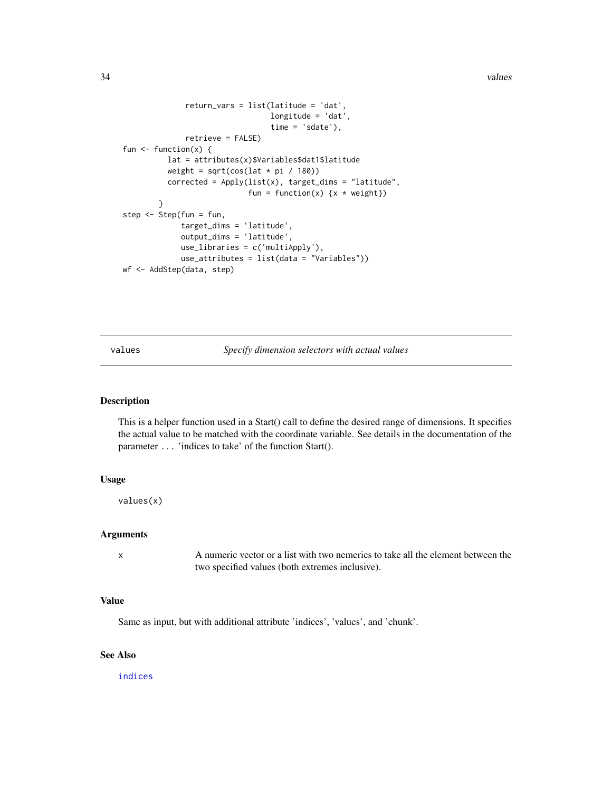<span id="page-33-0"></span>34 values

```
return_vars = list(latitude = 'dat',
                                 longitude = 'dat',
                                 time = 'sdate'),
              retrieve = FALSE)
fun \leq function(x) {
          lat = attributes(x)$Variables$dat1$latitude
          weight = sqrt(cos(lat * pi / 180))corrected = Apply(list(x), target_dims = "latitude",
                            fun = function(x) \{x * weight\}}
step <- Step(fun = fun,
             target_dims = 'latitude',
             output_dims = 'latitude',
             use_libraries = c('multiApply'),
             use_attributes = list(data = "Variables"))
wf <- AddStep(data, step)
```
<span id="page-33-1"></span>values *Specify dimension selectors with actual values*

## Description

This is a helper function used in a Start() call to define the desired range of dimensions. It specifies the actual value to be matched with the coordinate variable. See details in the documentation of the parameter ... 'indices to take' of the function Start().

#### Usage

values(x)

#### Arguments

x A numeric vector or a list with two nemerics to take all the element between the two specified values (both extremes inclusive).

# Value

Same as input, but with additional attribute 'indices', 'values', and 'chunk'.

# See Also

[indices](#page-8-1)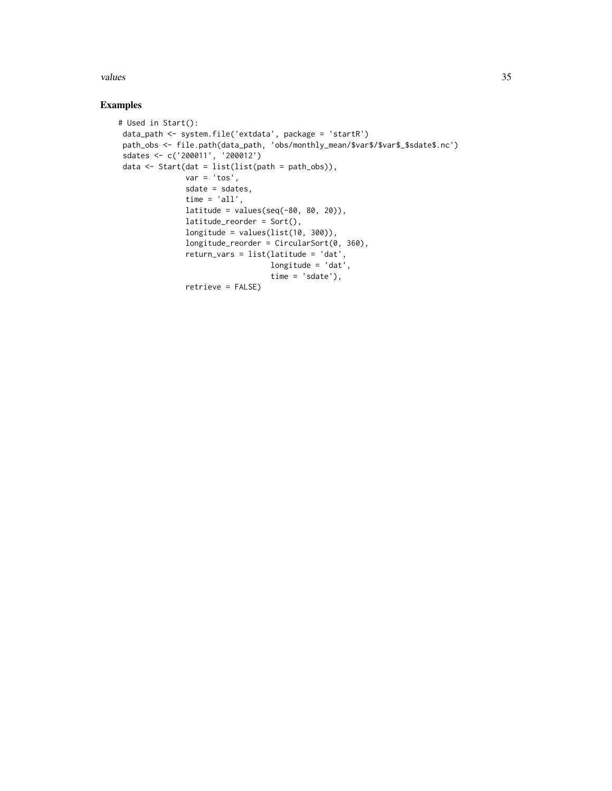values 35

# Examples

```
# Used in Start():
data_path <- system.file('extdata', package = 'startR')
 path_obs <- file.path(data_path, 'obs/monthly_mean/$var$/$var$_$sdate$.nc')
sdates <- c('200011', '200012')
 data <- Start(dat = list(list(path = path_obs)),
              var = 'tos',sdate = sdates,
              time = 'all',latitude = values(seq(-80, 80, 20)),
              latitude_reorder = Sort(),
              longitude = values(list(10, 300)),
              longitude_reorder = CircularSort(0, 360),
              return_vars = list(latitude = 'dat',
                                 longitude = 'dat',
                                 time = 'sdate'),
               retrieve = FALSE)
```